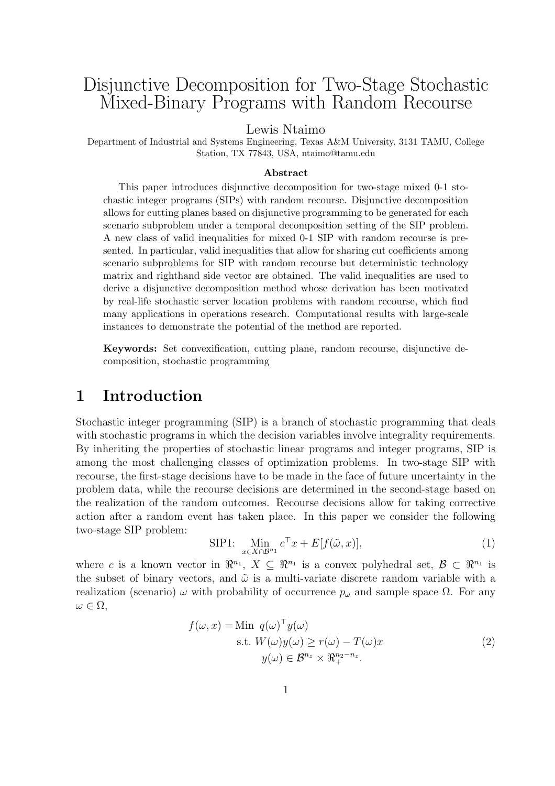# Disjunctive Decomposition for Two-Stage Stochastic Mixed-Binary Programs with Random Recourse

Lewis Ntaimo

Department of Industrial and Systems Engineering, Texas A&M University, 3131 TAMU, College Station, TX 77843, USA, ntaimo@tamu.edu

#### Abstract

This paper introduces disjunctive decomposition for two-stage mixed 0-1 stochastic integer programs (SIPs) with random recourse. Disjunctive decomposition allows for cutting planes based on disjunctive programming to be generated for each scenario subproblem under a temporal decomposition setting of the SIP problem. A new class of valid inequalities for mixed 0-1 SIP with random recourse is presented. In particular, valid inequalities that allow for sharing cut coefficients among scenario subproblems for SIP with random recourse but deterministic technology matrix and righthand side vector are obtained. The valid inequalities are used to derive a disjunctive decomposition method whose derivation has been motivated by real-life stochastic server location problems with random recourse, which find many applications in operations research. Computational results with large-scale instances to demonstrate the potential of the method are reported.

Keywords: Set convexification, cutting plane, random recourse, disjunctive decomposition, stochastic programming

# 1 Introduction

Stochastic integer programming (SIP) is a branch of stochastic programming that deals with stochastic programs in which the decision variables involve integrality requirements. By inheriting the properties of stochastic linear programs and integer programs, SIP is among the most challenging classes of optimization problems. In two-stage SIP with recourse, the first-stage decisions have to be made in the face of future uncertainty in the problem data, while the recourse decisions are determined in the second-stage based on the realization of the random outcomes. Recourse decisions allow for taking corrective action after a random event has taken place. In this paper we consider the following two-stage SIP problem:

$$
\text{SIP1: } \lim_{x \in X \cap \mathcal{B}^{n_1}} c^{\top} x + E[f(\tilde{\omega}, x)], \tag{1}
$$

where c is a known vector in  $\mathbb{R}^{n_1}$ ,  $X \subseteq \mathbb{R}^{n_1}$  is a convex polyhedral set,  $\mathcal{B} \subset \mathbb{R}^{n_1}$  is the subset of binary vectors, and  $\tilde{\omega}$  is a multi-variate discrete random variable with a realization (scenario)  $\omega$  with probability of occurrence  $p_{\omega}$  and sample space  $\Omega$ . For any  $\omega \in \Omega,$ 

$$
f(\omega, x) = \text{Min } q(\omega)^{\top} y(\omega)
$$
  
s.t.  $W(\omega) y(\omega) \ge r(\omega) - T(\omega)x$   

$$
y(\omega) \in \mathcal{B}^{n_z} \times \mathbb{R}^{n_2 - n_z}_{+}.
$$
 (2)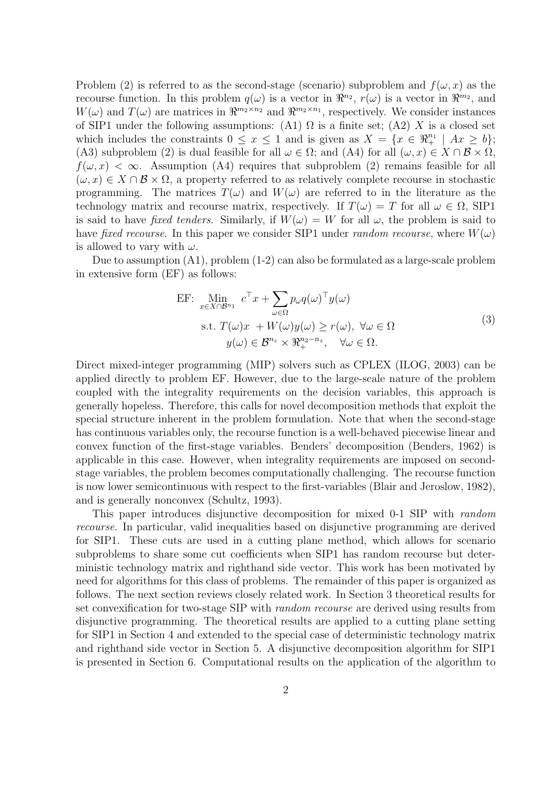Problem (2) is referred to as the second-stage (scenario) subproblem and  $f(\omega, x)$  as the recourse function. In this problem  $q(\omega)$  is a vector in  $\mathbb{R}^{n_2}$ ,  $r(\omega)$  is a vector in  $\mathbb{R}^{m_2}$ , and  $W(\omega)$  and  $T(\omega)$  are matrices in  $\Re^{m_2 \times n_2}$  and  $\Re^{m_2 \times n_1}$ , respectively. We consider instances of SIP1 under the following assumptions: (A1)  $\Omega$  is a finite set; (A2) X is a closed set which includes the constraints  $0 \le x \le 1$  and is given as  $X = \{x \in \mathbb{R}^{n_1} \mid Ax \ge b\};$ (A3) subproblem (2) is dual feasible for all  $\omega \in \Omega$ ; and (A4) for all  $(\omega, x) \in X \cap \mathcal{B} \times \Omega$ ,  $f(\omega, x) < \infty$ . Assumption (A4) requires that subproblem (2) remains feasible for all  $(\omega, x) \in X \cap \mathcal{B} \times \Omega$ , a property referred to as relatively complete recourse in stochastic programming. The matrices  $T(\omega)$  and  $W(\omega)$  are referred to in the literature as the technology matrix and recourse matrix, respectively. If  $T(\omega) = T$  for all  $\omega \in \Omega$ , SIP1 is said to have fixed tenders. Similarly, if  $W(\omega) = W$  for all  $\omega$ , the problem is said to have fixed recourse. In this paper we consider SIP1 under random recourse, where  $W(\omega)$ is allowed to vary with  $\omega$ .

Due to assumption (A1), problem (1-2) can also be formulated as a large-scale problem in extensive form (EF) as follows:

EF: 
$$
\lim_{x \in X \cap B^{n_1}} c^{\top} x + \sum_{\omega \in \Omega} p_{\omega} q(\omega)^{\top} y(\omega)
$$
  
s.t. 
$$
T(\omega)x + W(\omega)y(\omega) \ge r(\omega), \ \forall \omega \in \Omega
$$

$$
y(\omega) \in \mathcal{B}^{n_2} \times \mathbb{R}^{n_2 - n_z}, \quad \forall \omega \in \Omega.
$$
 (3)

Direct mixed-integer programming (MIP) solvers such as CPLEX (ILOG, 2003) can be applied directly to problem EF. However, due to the large-scale nature of the problem coupled with the integrality requirements on the decision variables, this approach is generally hopeless. Therefore, this calls for novel decomposition methods that exploit the special structure inherent in the problem formulation. Note that when the second-stage has continuous variables only, the recourse function is a well-behaved piecewise linear and convex function of the first-stage variables. Benders' decomposition (Benders, 1962) is applicable in this case. However, when integrality requirements are imposed on secondstage variables, the problem becomes computationally challenging. The recourse function is now lower semicontinuous with respect to the first-variables (Blair and Jeroslow, 1982), and is generally nonconvex (Schultz, 1993).

This paper introduces disjunctive decomposition for mixed 0-1 SIP with random recourse. In particular, valid inequalities based on disjunctive programming are derived for SIP1. These cuts are used in a cutting plane method, which allows for scenario subproblems to share some cut coefficients when SIP1 has random recourse but deterministic technology matrix and righthand side vector. This work has been motivated by need for algorithms for this class of problems. The remainder of this paper is organized as follows. The next section reviews closely related work. In Section 3 theoretical results for set convexification for two-stage SIP with random recourse are derived using results from disjunctive programming. The theoretical results are applied to a cutting plane setting for SIP1 in Section 4 and extended to the special case of deterministic technology matrix and righthand side vector in Section 5. A disjunctive decomposition algorithm for SIP1 is presented in Section 6. Computational results on the application of the algorithm to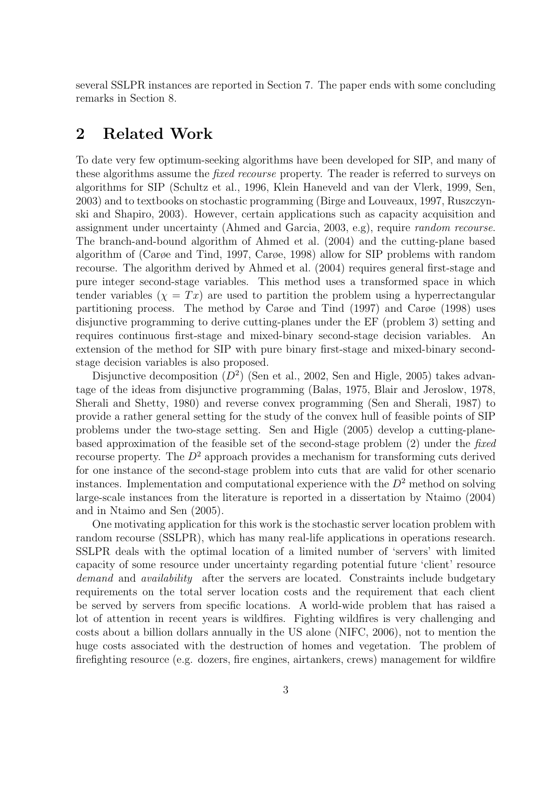several SSLPR instances are reported in Section 7. The paper ends with some concluding remarks in Section 8.

# 2 Related Work

To date very few optimum-seeking algorithms have been developed for SIP, and many of these algorithms assume the *fixed recourse* property. The reader is referred to surveys on algorithms for SIP (Schultz et al., 1996, Klein Haneveld and van der Vlerk, 1999, Sen, 2003) and to textbooks on stochastic programming (Birge and Louveaux, 1997, Ruszczynski and Shapiro, 2003). However, certain applications such as capacity acquisition and assignment under uncertainty (Ahmed and Garcia, 2003, e.g), require random recourse. The branch-and-bound algorithm of Ahmed et al. (2004) and the cutting-plane based algorithm of (Carøe and Tind, 1997, Carøe, 1998) allow for SIP problems with random recourse. The algorithm derived by Ahmed et al. (2004) requires general first-stage and pure integer second-stage variables. This method uses a transformed space in which tender variables  $(\chi = Tx)$  are used to partition the problem using a hyperrectangular partitioning process. The method by Carøe and Tind (1997) and Carøe (1998) uses disjunctive programming to derive cutting-planes under the EF (problem 3) setting and requires continuous first-stage and mixed-binary second-stage decision variables. An extension of the method for SIP with pure binary first-stage and mixed-binary secondstage decision variables is also proposed.

Disjunctive decomposition  $(D^2)$  (Sen et al., 2002, Sen and Higle, 2005) takes advantage of the ideas from disjunctive programming (Balas, 1975, Blair and Jeroslow, 1978, Sherali and Shetty, 1980) and reverse convex programming (Sen and Sherali, 1987) to provide a rather general setting for the study of the convex hull of feasible points of SIP problems under the two-stage setting. Sen and Higle (2005) develop a cutting-planebased approximation of the feasible set of the second-stage problem (2) under the fixed recourse property. The  $D^2$  approach provides a mechanism for transforming cuts derived for one instance of the second-stage problem into cuts that are valid for other scenario instances. Implementation and computational experience with the  $D<sup>2</sup>$  method on solving large-scale instances from the literature is reported in a dissertation by Ntaimo (2004) and in Ntaimo and Sen (2005).

One motivating application for this work is the stochastic server location problem with random recourse (SSLPR), which has many real-life applications in operations research. SSLPR deals with the optimal location of a limited number of 'servers' with limited capacity of some resource under uncertainty regarding potential future 'client' resource demand and *availability* after the servers are located. Constraints include budgetary requirements on the total server location costs and the requirement that each client be served by servers from specific locations. A world-wide problem that has raised a lot of attention in recent years is wildfires. Fighting wildfires is very challenging and costs about a billion dollars annually in the US alone (NIFC, 2006), not to mention the huge costs associated with the destruction of homes and vegetation. The problem of firefighting resource (e.g. dozers, fire engines, airtankers, crews) management for wildfire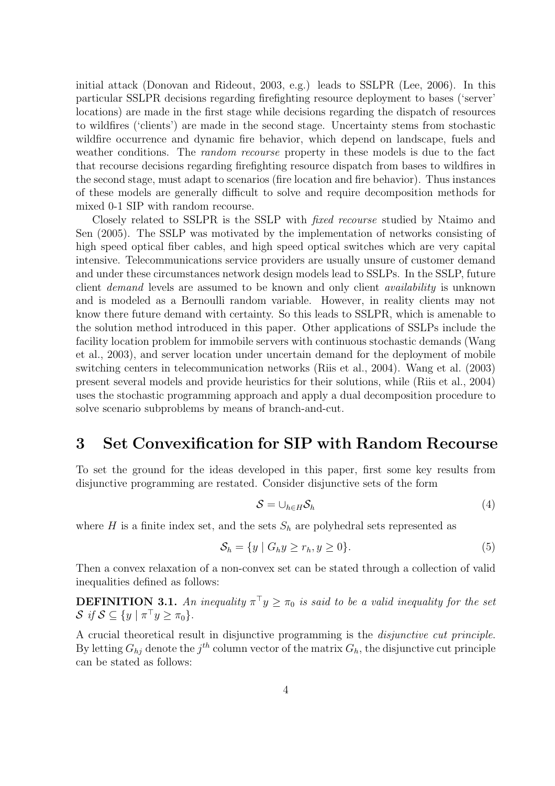initial attack (Donovan and Rideout, 2003, e.g.) leads to SSLPR (Lee, 2006). In this particular SSLPR decisions regarding firefighting resource deployment to bases ('server' locations) are made in the first stage while decisions regarding the dispatch of resources to wildfires ('clients') are made in the second stage. Uncertainty stems from stochastic wildfire occurrence and dynamic fire behavior, which depend on landscape, fuels and weather conditions. The *random recourse* property in these models is due to the fact that recourse decisions regarding firefighting resource dispatch from bases to wildfires in the second stage, must adapt to scenarios (fire location and fire behavior). Thus instances of these models are generally difficult to solve and require decomposition methods for mixed 0-1 SIP with random recourse.

Closely related to SSLPR is the SSLP with fixed recourse studied by Ntaimo and Sen (2005). The SSLP was motivated by the implementation of networks consisting of high speed optical fiber cables, and high speed optical switches which are very capital intensive. Telecommunications service providers are usually unsure of customer demand and under these circumstances network design models lead to SSLPs. In the SSLP, future client demand levels are assumed to be known and only client availability is unknown and is modeled as a Bernoulli random variable. However, in reality clients may not know there future demand with certainty. So this leads to SSLPR, which is amenable to the solution method introduced in this paper. Other applications of SSLPs include the facility location problem for immobile servers with continuous stochastic demands (Wang et al., 2003), and server location under uncertain demand for the deployment of mobile switching centers in telecommunication networks (Riis et al., 2004). Wang et al. (2003) present several models and provide heuristics for their solutions, while (Riis et al., 2004) uses the stochastic programming approach and apply a dual decomposition procedure to solve scenario subproblems by means of branch-and-cut.

# 3 Set Convexification for SIP with Random Recourse

To set the ground for the ideas developed in this paper, first some key results from disjunctive programming are restated. Consider disjunctive sets of the form

$$
S = \cup_{h \in H} S_h \tag{4}
$$

where H is a finite index set, and the sets  $S_h$  are polyhedral sets represented as

$$
\mathcal{S}_h = \{ y \mid G_h y \ge r_h, y \ge 0 \}. \tag{5}
$$

Then a convex relaxation of a non-convex set can be stated through a collection of valid inequalities defined as follows:

**DEFINITION 3.1.** An inequality  $\pi^{\top}y \geq \pi_0$  is said to be a valid inequality for the set  $\mathcal{S}$  if  $\mathcal{S} \subseteq \{y \mid \pi^{\top}y \geq \pi_0\}.$ 

A crucial theoretical result in disjunctive programming is the disjunctive cut principle. By letting  $G_{hj}$  denote the  $j^{th}$  column vector of the matrix  $G_h$ , the disjunctive cut principle can be stated as follows: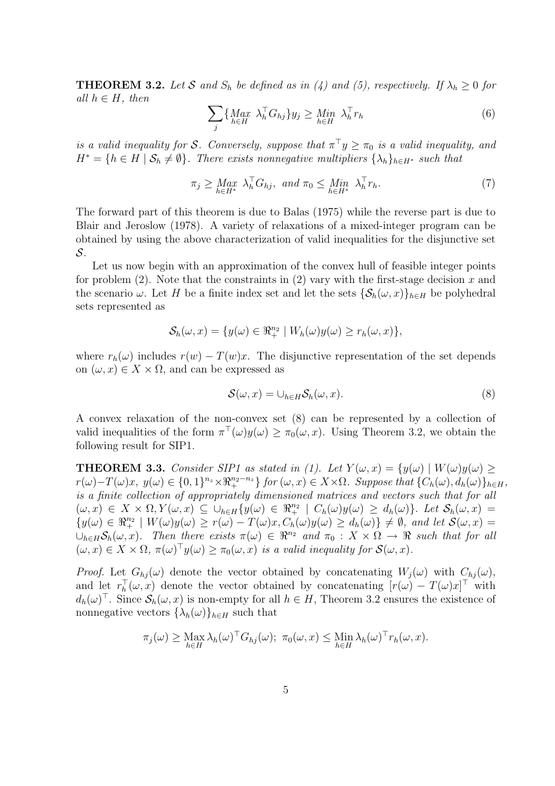**THEOREM 3.2.** Let S and  $S_h$  be defined as in (4) and (5), respectively. If  $\lambda_h \geq 0$  for all  $h \in H$ , then  $\overline{\phantom{a}}$ 

$$
\sum_{j} \{ \underset{h \in H}{\text{Max}} \lambda_h^{\top} G_{hj} \} y_j \ge \underset{h \in H}{\text{Min}} \lambda_h^{\top} r_h \tag{6}
$$

is a valid inequality for S. Conversely, suppose that  $\pi^{\top}y \geq \pi_0$  is a valid inequality, and  $H^* = \{h \in H \mid \mathcal{S}_h \neq \emptyset\}$ . There exists nonnegative multipliers  $\{\lambda_h\}_{h \in H^*}$  such that

$$
\pi_j \geq \underset{h \in H^*}{Max} \ \lambda_h^{\top} G_{hj}, \ and \ \pi_0 \leq \underset{h \in H^*}{Min} \ \lambda_h^{\top} r_h. \tag{7}
$$

The forward part of this theorem is due to Balas (1975) while the reverse part is due to Blair and Jeroslow (1978). A variety of relaxations of a mixed-integer program can be obtained by using the above characterization of valid inequalities for the disjunctive set S.

Let us now begin with an approximation of the convex hull of feasible integer points for problem  $(2)$ . Note that the constraints in  $(2)$  vary with the first-stage decision x and the scenario  $\omega$ . Let H be a finite index set and let the sets  $\{\mathcal{S}_h(\omega, x)\}_{h\in H}$  be polyhedral sets represented as

$$
\mathcal{S}_h(\omega, x) = \{ y(\omega) \in \Re_+^{n_2} \mid W_h(\omega) y(\omega) \ge r_h(\omega, x) \},
$$

where  $r_h(\omega)$  includes  $r(w) - T(w)x$ . The disjunctive representation of the set depends on  $(\omega, x) \in X \times \Omega$ , and can be expressed as

$$
\mathcal{S}(\omega, x) = \cup_{h \in H} \mathcal{S}_h(\omega, x). \tag{8}
$$

A convex relaxation of the non-convex set (8) can be represented by a collection of valid inequalities of the form  $\pi^{\top}(\omega)y(\omega) \geq \pi_0(\omega, x)$ . Using Theorem 3.2, we obtain the following result for SIP1.

**THEOREM 3.3.** Consider SIP1 as stated in (1). Let  $Y(\omega, x) = \{y(\omega) \mid W(\omega)y(\omega) \geq 0\}$  $r(\omega)-T(\omega)x, y(\omega) \in \{0,1\}^{n_z} \times \Re^{n_z-n_z}_{+} \}$  for  $(\omega, x) \in X \times \Omega$ . Suppose that  $\{C_h(\omega), d_h(\omega)\}_{h \in H}$ , is a finite collection of appropriately dimensioned matrices and vectors such that for all  $(\omega, x) \in X \times \Omega, Y(\omega, x) \subseteq \bigcup_{h \in H} \{y(\omega) \in \Re^{n_2} \mid C_h(\omega)y(\omega) \geq d_h(\omega)\}\.$  Let  $\mathcal{S}_h(\omega, x) =$  ${y(\omega) \in \Re^{n_2} \mid W(\omega)y(\omega) \ge r(\omega) - T(\omega)x, C_h(\omega)y(\omega) \ge d_h(\omega)} \ne \emptyset$ , and let  $\mathcal{S}(\omega, x) =$  $\cup_{h\in H}S_h(\omega, x)$ . Then there exists  $\pi(\omega) \in \mathbb{R}^{n_2}$  and  $\pi_0 : X \times \Omega \to \mathbb{R}$  such that for all  $(\omega, x) \in X \times \Omega$ ,  $\pi(\omega)^\top y(\omega) \geq \pi_0(\omega, x)$  is a valid inequality for  $\mathcal{S}(\omega, x)$ .

*Proof.* Let  $G_{hj}(\omega)$  denote the vector obtained by concatenating  $W_j(\omega)$  with  $C_{hj}(\omega)$ , and let  $r_h^{\top}(\omega, x)$  denote the vector obtained by concatenating  $[r(\omega) - T(\omega)x]^{\top}$  with  $d_h(\omega)^\top$ . Since  $\mathcal{S}_h(\omega, x)$  is non-empty for all  $h \in H$ , Theorem 3.2 ensures the existence of nonnegative vectors  $\{\lambda_h(\omega)\}_{h\in H}$  such that

$$
\pi_j(\omega) \geq \max_{h \in H} \lambda_h(\omega)^\top G_{hj}(\omega); \ \pi_0(\omega, x) \leq \min_{h \in H} \lambda_h(\omega)^\top r_h(\omega, x).
$$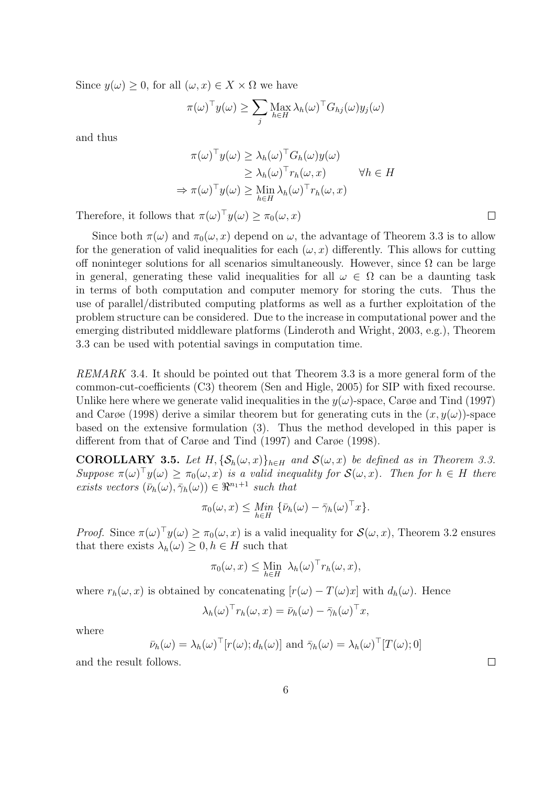Since  $y(\omega) \geq 0$ , for all  $(\omega, x) \in X \times \Omega$  we have

$$
\pi(\omega)^{\top} y(\omega) \ge \sum_{j} \operatorname{Max}_{h \in H} \lambda_h(\omega)^{\top} G_{hj}(\omega) y_j(\omega)
$$

and thus

$$
\pi(\omega)^{\top} y(\omega) \geq \lambda_h(\omega)^{\top} G_h(\omega) y(\omega)
$$
  
\n
$$
\geq \lambda_h(\omega)^{\top} r_h(\omega, x) \qquad \forall h \in H
$$
  
\n
$$
\Rightarrow \pi(\omega)^{\top} y(\omega) \geq \lim_{h \in H} \lambda_h(\omega)^{\top} r_h(\omega, x)
$$

Therefore, it follows that  $\pi(\omega)^\top y(\omega) \geq \pi_0(\omega, x)$ 

Since both  $\pi(\omega)$  and  $\pi_0(\omega, x)$  depend on  $\omega$ , the advantage of Theorem 3.3 is to allow for the generation of valid inequalities for each  $(\omega, x)$  differently. This allows for cutting off noninteger solutions for all scenarios simultaneously. However, since  $\Omega$  can be large in general, generating these valid inequalities for all  $\omega \in \Omega$  can be a daunting task in terms of both computation and computer memory for storing the cuts. Thus the use of parallel/distributed computing platforms as well as a further exploitation of the problem structure can be considered. Due to the increase in computational power and the emerging distributed middleware platforms (Linderoth and Wright, 2003, e.g.), Theorem 3.3 can be used with potential savings in computation time.

REMARK 3.4. It should be pointed out that Theorem 3.3 is a more general form of the common-cut-coefficients (C3) theorem (Sen and Higle, 2005) for SIP with fixed recourse. Unlike here where we generate valid inequalities in the  $y(\omega)$ -space, Carge and Tind (1997) and Carøe (1998) derive a similar theorem but for generating cuts in the  $(x, y(\omega))$ -space based on the extensive formulation (3). Thus the method developed in this paper is different from that of Carøe and Tind (1997) and Carøe (1998).

**COROLLARY 3.5.** Let H,  $\{\mathcal{S}_h(\omega, x)\}_{h \in H}$  and  $\mathcal{S}(\omega, x)$  be defined as in Theorem 3.3. Suppose  $\pi(\omega)^\top y(\omega) \geq \pi_0(\omega, x)$  is a valid inequality for  $\mathcal{S}(\omega, x)$ . Then for  $h \in H$  there exists vectors  $(\bar{\nu}_h(\omega), \bar{\gamma}_h(\omega)) \in \Re^{n_1+1}$  such that

$$
\pi_0(\omega, x) \leq \underset{h \in H}{\text{Min}} \{ \bar{\nu}_h(\omega) - \bar{\gamma}_h(\omega)^\top x \}.
$$

*Proof.* Since  $\pi(\omega)^{\top}y(\omega) \geq \pi_0(\omega, x)$  is a valid inequality for  $\mathcal{S}(\omega, x)$ , Theorem 3.2 ensures that there exists  $\lambda_h(\omega) \geq 0, h \in H$  such that

$$
\pi_0(\omega, x) \leq \lim_{h \in H} \lambda_h(\omega)^\top r_h(\omega, x),
$$

where  $r_h(\omega, x)$  is obtained by concatenating  $[r(\omega) - T(\omega)x]$  with  $d_h(\omega)$ . Hence

$$
\lambda_h(\omega)^\top r_h(\omega, x) = \bar{\nu}_h(\omega) - \bar{\gamma}_h(\omega)^\top x,
$$

where

$$
\bar{\nu}_h(\omega) = \lambda_h(\omega)^\top [r(\omega); d_h(\omega)]
$$
 and  $\bar{\gamma}_h(\omega) = \lambda_h(\omega)^\top [T(\omega); 0]$ 

and the result follows.

 $\Box$ 

 $\Box$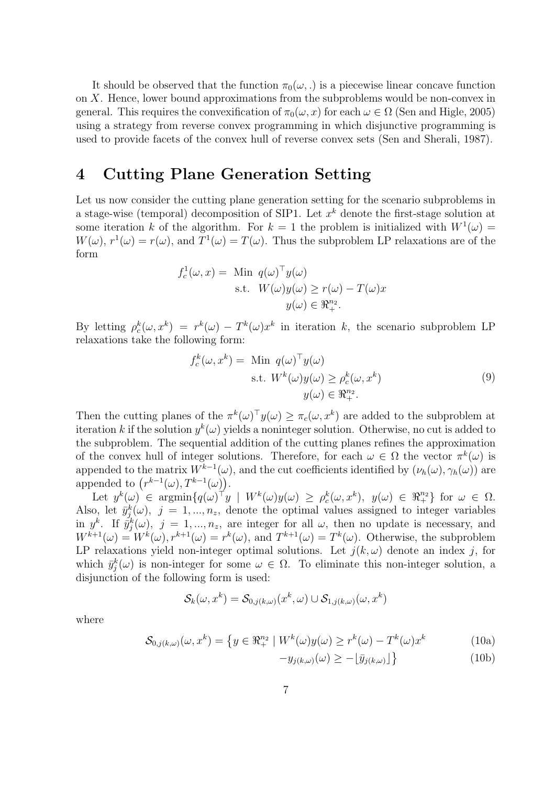It should be observed that the function  $\pi_0(\omega, \cdot)$  is a piecewise linear concave function on X. Hence, lower bound approximations from the subproblems would be non-convex in general. This requires the convexification of  $\pi_0(\omega, x)$  for each  $\omega \in \Omega$  (Sen and Higle, 2005) using a strategy from reverse convex programming in which disjunctive programming is used to provide facets of the convex hull of reverse convex sets (Sen and Sherali, 1987).

# 4 Cutting Plane Generation Setting

Let us now consider the cutting plane generation setting for the scenario subproblems in a stage-wise (temporal) decomposition of SIP1. Let  $x^k$  denote the first-stage solution at some iteration k of the algorithm. For  $k = 1$  the problem is initialized with  $W^1(\omega) =$  $W(\omega)$ ,  $r^1(\omega) = r(\omega)$ , and  $T^1(\omega) = T(\omega)$ . Thus the subproblem LP relaxations are of the form

$$
f_c^1(\omega, x) = \text{Min } q(\omega)^\top y(\omega)
$$
  
s.t.  $W(\omega)y(\omega) \ge r(\omega) - T(\omega)x$   
 $y(\omega) \in \mathbb{R}^{n_2}_+$ .

By letting  $\rho_c^k(\omega, x^k) = r^k(\omega) - T^k(\omega) x^k$  in iteration k, the scenario subproblem LP relaxations take the following form:

$$
f_c^k(\omega, x^k) = \text{Min } q(\omega)^\top y(\omega)
$$
  
s.t.  $W^k(\omega)y(\omega) \ge \rho_c^k(\omega, x^k)$   
 $y(\omega) \in \mathbb{R}^{n_2}_+.$  (9)

Then the cutting planes of the  $\pi^k(\omega)^\top y(\omega) \geq \pi_c(\omega, x^k)$  are added to the subproblem at iteration k if the solution  $y^k(\omega)$  yields a noninteger solution. Otherwise, no cut is added to the subproblem. The sequential addition of the cutting planes refines the approximation of the convex hull of integer solutions. Therefore, for each  $\omega \in \Omega$  the vector  $\pi^k(\omega)$  is appended to the matrix  $W^{k-1}(\omega)$ , and the cut coefficients identified by  $(\nu_h(\omega), \gamma_h(\omega))$  are appended to  $(r^{k-1}(\omega), T^{k-1}(\omega))$ .

Let  $y^k(\omega) \in \operatorname{argmin}_{\{q(\omega) \mid y} \mid W^k(\omega) y(\omega) \geq \rho_c^k(\omega, x^k), y(\omega) \in \Re^{n_2}_{+} \}$  for  $\omega \in \Omega$ . Also, let  $\bar{y}_j^k(\omega)$ ,  $j = 1, ..., n_z$ , denote the optimal values assigned to integer variables in  $y^k$ . If  $\bar{y}_j^k(\omega)$ ,  $j = 1, ..., n_z$ , are integer for all  $\omega$ , then no update is necessary, and  $W^{k+1}(\omega) = W^k(\omega), r^{k+1}(\omega) = r^k(\omega)$ , and  $T^{k+1}(\omega) = T^k(\omega)$ . Otherwise, the subproblem LP relaxations yield non-integer optimal solutions. Let  $j(k,\omega)$  denote an index j, for which  $\bar{y}_j^k(\omega)$  is non-integer for some  $\omega \in \Omega$ . To eliminate this non-integer solution, a disjunction of the following form is used:

$$
\mathcal{S}_k(\omega, x^k) = \mathcal{S}_{0,j(k,\omega)}(x^k, \omega) \cup \mathcal{S}_{1,j(k,\omega)}(\omega, x^k)
$$

where

$$
\mathcal{S}_{0,j(k,\omega)}(\omega, x^k) = \left\{ y \in \mathbb{R}^{n_2} \mid W^k(\omega) y(\omega) \ge r^k(\omega) - T^k(\omega) x^k \right\}
$$
(10a)

$$
-y_{j(k,\omega)}(\omega) \ge -\lfloor \bar{y}_{j(k,\omega)} \rfloor \}
$$
\n(10b)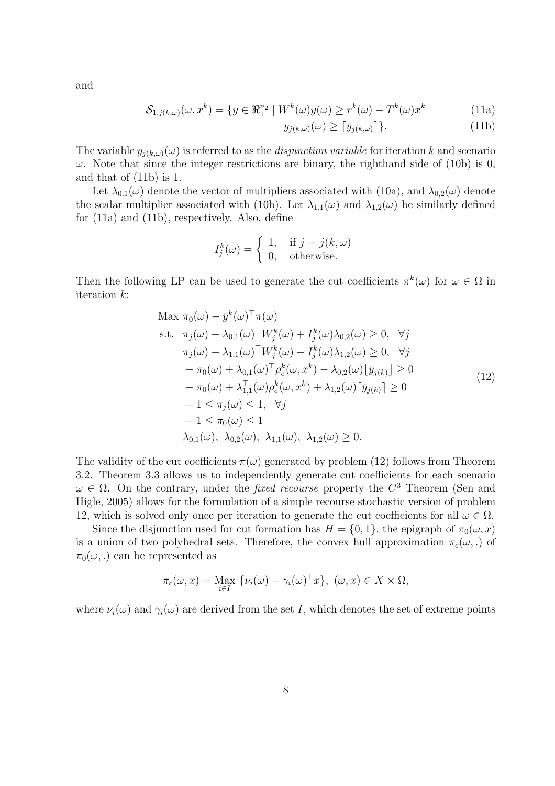and

$$
\mathcal{S}_{1,j(k,\omega)}(\omega, x^k) = \{ y \in \mathbb{R}^{n_2} \mid W^k(\omega) y(\omega) \ge r^k(\omega) - T^k(\omega) x^k \tag{11a}
$$

$$
y_{j(k,\omega)}(\omega) \ge \lceil \bar{y}_{j(k,\omega)} \rceil \}. \tag{11b}
$$

The variable  $y_{j(k,\omega)}(\omega)$  is referred to as the *disjunction variable* for iteration k and scenario  $\omega$ . Note that since the integer restrictions are binary, the righthand side of (10b) is 0, and that of (11b) is 1.

Let  $\lambda_{0,1}(\omega)$  denote the vector of multipliers associated with (10a), and  $\lambda_{0,2}(\omega)$  denote the scalar multiplier associated with (10b). Let  $\lambda_{1,1}(\omega)$  and  $\lambda_{1,2}(\omega)$  be similarly defined for (11a) and (11b), respectively. Also, define

$$
I_j^k(\omega) = \begin{cases} 1, & \text{if } j = j(k, \omega) \\ 0, & \text{otherwise.} \end{cases}
$$

Then the following LP can be used to generate the cut coefficients  $\pi^k(\omega)$  for  $\omega \in \Omega$  in iteration k:

Max 
$$
\pi_0(\omega) - \bar{y}^k(\omega)^\top \pi(\omega)
$$
  
\ns.t.  $\pi_j(\omega) - \lambda_{0,1}(\omega)^\top W_j^k(\omega) + I_j^k(\omega)\lambda_{0,2}(\omega) \ge 0, \quad \forall j$   
\n $\pi_j(\omega) - \lambda_{1,1}(\omega)^\top W_j^k(\omega) - I_j^k(\omega)\lambda_{1,2}(\omega) \ge 0, \quad \forall j$   
\n $- \pi_0(\omega) + \lambda_{0,1}(\omega)^\top \rho_c^k(\omega, x^k) - \lambda_{0,2}(\omega) [\bar{y}_{j(k)}] \ge 0$   
\n $- \pi_0(\omega) + \lambda_{1,1}^\top(\omega) \rho_c^k(\omega, x^k) + \lambda_{1,2}(\omega) [\bar{y}_{j(k)}] \ge 0$   
\n $- 1 \le \pi_j(\omega) \le 1, \quad \forall j$   
\n $- 1 \le \pi_0(\omega) \le 1$   
\n $\lambda_{0,1}(\omega), \lambda_{0,2}(\omega), \lambda_{1,1}(\omega), \lambda_{1,2}(\omega) \ge 0.$  (12)

The validity of the cut coefficients  $\pi(\omega)$  generated by problem (12) follows from Theorem 3.2. Theorem 3.3 allows us to independently generate cut coefficients for each scenario  $\omega \in \Omega$ . On the contrary, under the *fixed recourse* property the  $C^3$  Theorem (Sen and Higle, 2005) allows for the formulation of a simple recourse stochastic version of problem 12, which is solved only once per iteration to generate the cut coefficients for all  $\omega \in \Omega$ .

Since the disjunction used for cut formation has  $H = \{0, 1\}$ , the epigraph of  $\pi_0(\omega, x)$ is a union of two polyhedral sets. Therefore, the convex hull approximation  $\pi_c(\omega,.)$  of  $\pi_0(\omega,.)$  can be represented as

$$
\pi_c(\omega, x) = \max_{i \in I} \{ \nu_i(\omega) - \gamma_i(\omega)^\top x \}, \ (\omega, x) \in X \times \Omega,
$$

where  $\nu_i(\omega)$  and  $\gamma_i(\omega)$  are derived from the set I, which denotes the set of extreme points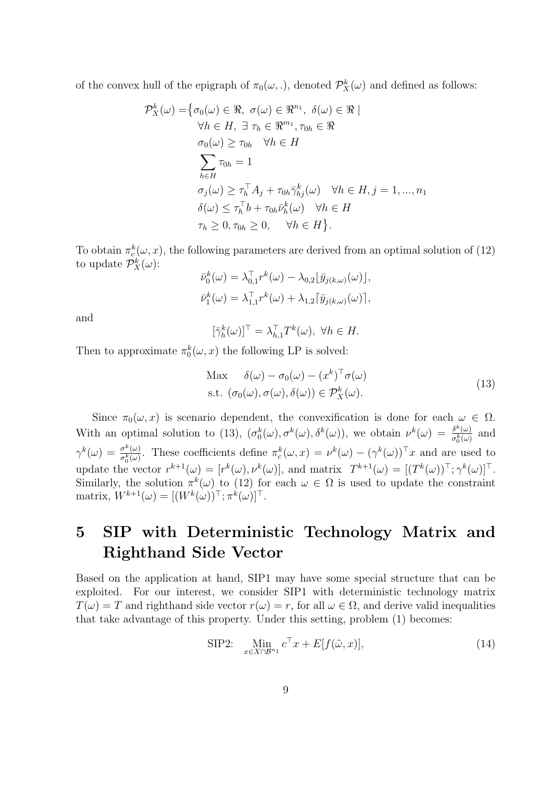of the convex hull of the epigraph of  $\pi_0(\omega,.)$ , denoted  $\mathcal{P}_X^k(\omega)$  and defined as follows:

$$
\mathcal{P}_{X}^{k}(\omega) = \{ \sigma_{0}(\omega) \in \mathbb{R}, \ \sigma(\omega) \in \mathbb{R}^{n_{1}}, \ \delta(\omega) \in \mathbb{R} \mid \forall h \in H, \ \exists \ \tau_{h} \in \mathbb{R}^{m_{1}}, \tau_{0h} \in \mathbb{R} \newline \sigma_{0}(\omega) \geq \tau_{0h} \quad \forall h \in H \newline \sum_{h \in H} \tau_{0h} = 1 \newline \sigma_{j}(\omega) \geq \tau_{h}^{\top} A_{j} + \tau_{0h} \bar{\gamma}_{hj}^{k}(\omega) \quad \forall h \in H, j = 1, ..., n_{1} \newline \delta(\omega) \leq \tau_{h}^{\top} b + \tau_{0h} \bar{\nu}_{h}^{k}(\omega) \quad \forall h \in H \newline \tau_{h} \geq 0, \ \tau_{0h} \geq 0, \quad \forall h \in H \}.
$$

To obtain  $\pi_c^k(\omega, x)$ , the following parameters are derived from an optimal solution of (12) to update  $\mathcal{P}_X^k(\omega)$ :

$$
\bar{\nu}_0^k(\omega) = \lambda_{0,1}^{\top} r^k(\omega) - \lambda_{0,2} \lfloor \bar{y}_{j(k,\omega)}(\omega) \rfloor,
$$
  

$$
\bar{\nu}_1^k(\omega) = \lambda_{1,1}^{\top} r^k(\omega) + \lambda_{1,2} \lfloor \bar{y}_{j(k,\omega)}(\omega) \rfloor,
$$

and

 $[\bar{\gamma}_h^k(\omega)]^{\top} = \lambda_{h,1}^{\top} T^k(\omega), \ \forall h \in H.$ 

Then to approximate  $\pi_0^k(\omega, x)$  the following LP is solved:

Max 
$$
\delta(\omega) - \sigma_0(\omega) - (x^k)^\top \sigma(\omega)
$$
  
s.t.  $(\sigma_0(\omega), \sigma(\omega), \delta(\omega)) \in \mathcal{P}_X^k(\omega)$ . (13)

Since  $\pi_0(\omega, x)$  is scenario dependent, the convexification is done for each  $\omega \in \Omega$ . With an optimal solution to (13),  $(\sigma_0^k(\omega), \sigma^k(\omega), \delta^k(\omega))$ , we obtain  $\nu^k(\omega) = \frac{\delta^k(\omega)}{\sigma_0^k(\omega)}$  $\frac{\partial^{k}(\omega)}{\partial_{0}^{k}(\omega)}$  and  $\overline{0}$  $\gamma^k(\omega) = \frac{\sigma^k(\omega)}{\sigma^k(\omega)}$  $\frac{\sigma^k(\omega)}{\sigma_0^k(\omega)}$ . These coefficients define  $\pi_c^k(\omega, x) = \nu^k(\omega) - (\gamma^k(\omega))^T x$  and are used to update the vector  $r^{k+1}(\omega) = [r^k(\omega), \nu^k(\omega)]$ , and matrix  $T^{k+1}(\omega) = [(T^k(\omega))^T; \gamma^k(\omega)]^T$ . Similarly, the solution  $\pi^k(\omega)$  to (12) for each  $\omega \in \Omega$  is used to update the constraint matrix,  $W^{k+1}(\omega) = [(W^k(\omega))^{\top}; \pi^k(\omega)]^{\top}.$ 

# 5 SIP with Deterministic Technology Matrix and Righthand Side Vector

Based on the application at hand, SIP1 may have some special structure that can be exploited. For our interest, we consider SIP1 with deterministic technology matrix  $T(\omega) = T$  and righthand side vector  $r(\omega) = r$ , for all  $\omega \in \Omega$ , and derive valid inequalities that take advantage of this property. Under this setting, problem (1) becomes:

SIP2: 
$$
\lim_{x \in X \cap \mathcal{B}^{n_1}} c^{\top} x + E[f(\tilde{\omega}, x)], \qquad (14)
$$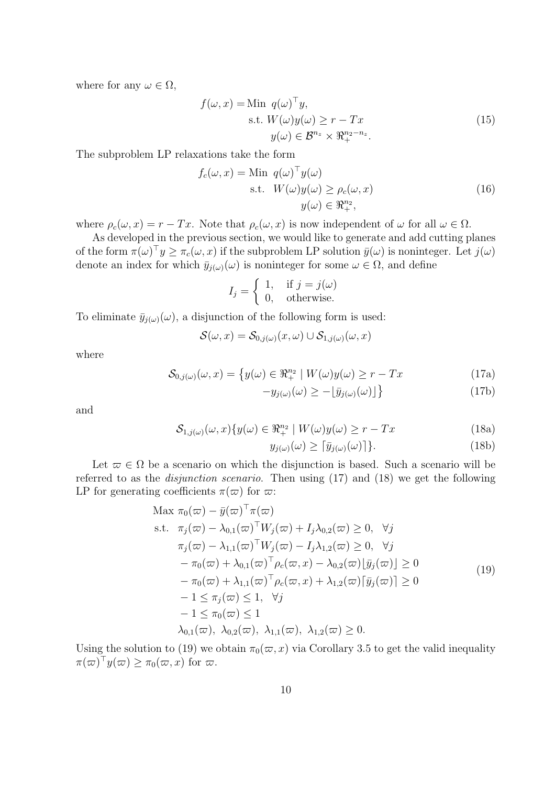where for any  $\omega \in \Omega$ ,

$$
f(\omega, x) = \text{Min } q(\omega)^{\top} y,
$$
  
s.t.  $W(\omega)y(\omega) \ge r - Tx$   

$$
y(\omega) \in \mathcal{B}^{n_z} \times \mathbb{R}^{n_2 - n_z}_{+}.
$$
 (15)

The subproblem LP relaxations take the form

$$
f_c(\omega, x) = \text{Min } q(\omega)^\top y(\omega)
$$
  
s.t.  $W(\omega)y(\omega) \ge \rho_c(\omega, x)$   
 $y(\omega) \in \mathbb{R}^{n_2}$ , (16)

where  $\rho_c(\omega, x) = r - Tx$ . Note that  $\rho_c(\omega, x)$  is now independent of  $\omega$  for all  $\omega \in \Omega$ .

As developed in the previous section, we would like to generate and add cutting planes of the form  $\pi(\omega)^{\top}y \geq \pi_c(\omega, x)$  if the subproblem LP solution  $\bar{y}(\omega)$  is noninteger. Let  $j(\omega)$ denote an index for which  $\bar{y}_{j(\omega)}(\omega)$  is noninteger for some  $\omega \in \Omega$ , and define

$$
I_j = \begin{cases} 1, & \text{if } j = j(\omega) \\ 0, & \text{otherwise.} \end{cases}
$$

To eliminate  $\bar{y}_{j(\omega)}(\omega)$ , a disjunction of the following form is used:

$$
\mathcal{S}(\omega, x) = \mathcal{S}_{0,j(\omega)}(x, \omega) \cup \mathcal{S}_{1,j(\omega)}(\omega, x)
$$

where

$$
\mathcal{S}_{0,j(\omega)}(\omega,x) = \left\{ y(\omega) \in \Re_+^{n_2} \mid W(\omega)y(\omega) \ge r - Tx \right\}
$$
\n(17a)

$$
-y_{j(\omega)}(\omega) \ge -[\bar{y}_{j(\omega)}(\omega)]\}
$$
\n(17b)

and

$$
S_{1,j(\omega)}(\omega, x)\{y(\omega) \in \mathbb{R}^{n_2} \mid W(\omega)y(\omega) \ge r - Tx \tag{18a}
$$

$$
y_{j(\omega)}(\omega) \ge \lceil \bar{y}_{j(\omega)}(\omega) \rceil.
$$
 (18b)

Let  $\varpi \in \Omega$  be a scenario on which the disjunction is based. Such a scenario will be referred to as the disjunction scenario. Then using (17) and (18) we get the following LP for generating coefficients  $\pi(\varpi)$  for  $\varpi$ :

Max 
$$
\pi_0(\varpi) - \bar{y}(\varpi)^\top \pi(\varpi)
$$
  
\ns.t.  $\pi_j(\varpi) - \lambda_{0,1}(\varpi)^\top W_j(\varpi) + I_j \lambda_{0,2}(\varpi) \ge 0, \forall j$   
\n $\pi_j(\varpi) - \lambda_{1,1}(\varpi)^\top W_j(\varpi) - I_j \lambda_{1,2}(\varpi) \ge 0, \forall j$   
\n $-\pi_0(\varpi) + \lambda_{0,1}(\varpi)^\top \rho_c(\varpi, x) - \lambda_{0,2}(\varpi) [\bar{y}_j(\varpi)] \ge 0$   
\n $-\pi_0(\varpi) + \lambda_{1,1}(\varpi)^\top \rho_c(\varpi, x) + \lambda_{1,2}(\varpi) [\bar{y}_j(\varpi)] \ge 0$   
\n $-1 \le \pi_j(\varpi) \le 1, \forall j$   
\n $-1 \le \pi_0(\varpi) \le 1$   
\n $\lambda_{0,1}(\varpi), \lambda_{0,2}(\varpi), \lambda_{1,1}(\varpi), \lambda_{1,2}(\varpi) \ge 0.$  (19)

Using the solution to (19) we obtain  $\pi_0(\varpi, x)$  via Corollary 3.5 to get the valid inequality  $\pi(\varpi)^{\top}y(\varpi) \geq \pi_0(\varpi, x)$  for  $\varpi$ .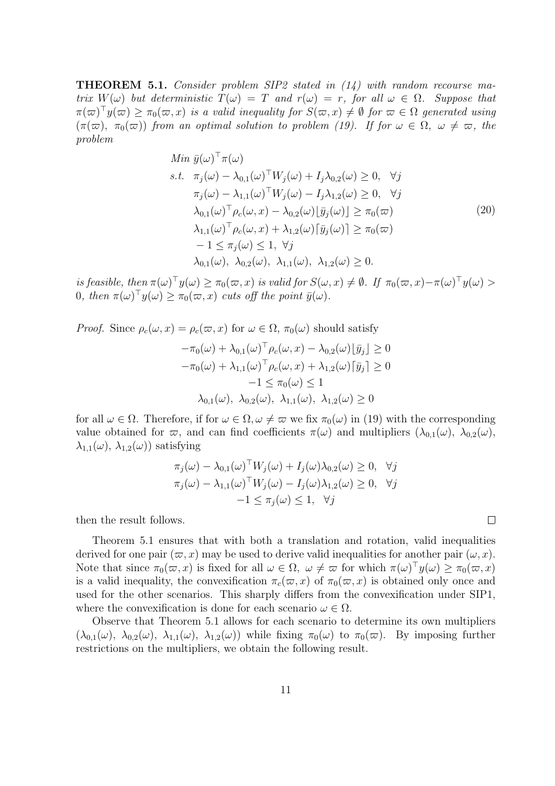THEOREM 5.1. Consider problem SIP2 stated in (14) with random recourse matrix  $W(\omega)$  but deterministic  $T(\omega) = T$  and  $r(\omega) = r$ , for all  $\omega \in \Omega$ . Suppose that  $\pi(\varpi)^{\top}y(\varpi) \geq \pi_0(\varpi, x)$  is a valid inequality for  $S(\varpi, x) \neq \emptyset$  for  $\varpi \in \Omega$  generated using  $(\pi(\varpi), \pi_0(\varpi))$  from an optimal solution to problem (19). If for  $\omega \in \Omega$ ,  $\omega \neq \varpi$ , the problem

Min 
$$
\bar{y}(\omega)^\top \pi(\omega)
$$
  
\ns.t.  $\pi_j(\omega) - \lambda_{0,1}(\omega)^\top W_j(\omega) + I_j \lambda_{0,2}(\omega) \ge 0, \quad \forall j$   
\n $\pi_j(\omega) - \lambda_{1,1}(\omega)^\top W_j(\omega) - I_j \lambda_{1,2}(\omega) \ge 0, \quad \forall j$   
\n $\lambda_{0,1}(\omega)^\top \rho_c(\omega, x) - \lambda_{0,2}(\omega) [\bar{y}_j(\omega)] \ge \pi_0(\varpi)$   
\n $\lambda_{1,1}(\omega)^\top \rho_c(\omega, x) + \lambda_{1,2}(\omega) [\bar{y}_j(\omega)] \ge \pi_0(\varpi)$   
\n $-1 \le \pi_j(\omega) \le 1, \quad \forall j$   
\n $\lambda_{0,1}(\omega), \quad \lambda_{0,2}(\omega), \quad \lambda_{1,1}(\omega), \quad \lambda_{1,2}(\omega) \ge 0.$  (20)

is feasible, then  $\pi(\omega)^{\top}y(\omega) \geq \pi_0(\varpi, x)$  is valid for  $S(\omega, x) \neq \emptyset$ . If  $\pi_0(\varpi, x) - \pi(\omega)^{\top}y(\omega) >$ 0, then  $\pi(\omega)^{\top}y(\omega) \geq \pi_0(\varpi, x)$  cuts off the point  $\bar{y}(\omega)$ .

*Proof.* Since  $\rho_c(\omega, x) = \rho_c(\varpi, x)$  for  $\omega \in \Omega$ ,  $\pi_0(\omega)$  should satisfy

$$
-\pi_0(\omega) + \lambda_{0,1}(\omega)^\top \rho_c(\omega, x) - \lambda_{0,2}(\omega) \lfloor \bar{y}_j \rfloor \ge 0
$$
  

$$
-\pi_0(\omega) + \lambda_{1,1}(\omega)^\top \rho_c(\omega, x) + \lambda_{1,2}(\omega) \lceil \bar{y}_j \rceil \ge 0
$$
  

$$
-1 \le \pi_0(\omega) \le 1
$$
  

$$
\lambda_{0,1}(\omega), \ \lambda_{0,2}(\omega), \ \lambda_{1,1}(\omega), \ \lambda_{1,2}(\omega) \ge 0
$$

for all  $\omega \in \Omega$ . Therefore, if for  $\omega \in \Omega$ ,  $\omega \neq \varpi$  we fix  $\pi_0(\omega)$  in (19) with the corresponding value obtained for  $\varpi$ , and can find coefficients  $\pi(\omega)$  and multipliers  $(\lambda_{0,1}(\omega), \lambda_{0,2}(\omega))$ ,  $\lambda_{1,1}(\omega)$ ,  $\lambda_{1,2}(\omega)$ ) satisfying

$$
\pi_j(\omega) - \lambda_{0,1}(\omega)^\top W_j(\omega) + I_j(\omega)\lambda_{0,2}(\omega) \ge 0, \quad \forall j
$$
  

$$
\pi_j(\omega) - \lambda_{1,1}(\omega)^\top W_j(\omega) - I_j(\omega)\lambda_{1,2}(\omega) \ge 0, \quad \forall j
$$
  

$$
-1 \le \pi_j(\omega) \le 1, \quad \forall j
$$

then the result follows.

Theorem 5.1 ensures that with both a translation and rotation, valid inequalities derived for one pair  $(\varpi, x)$  may be used to derive valid inequalities for another pair  $(\omega, x)$ . Note that since  $\pi_0(\varpi, x)$  is fixed for all  $\omega \in \Omega$ ,  $\omega \neq \varpi$  for which  $\pi(\omega)^\top y(\omega) \geq \pi_0(\varpi, x)$ is a valid inequality, the convexification  $\pi_c(\varpi, x)$  of  $\pi_0(\varpi, x)$  is obtained only once and used for the other scenarios. This sharply differs from the convexification under SIP1, where the convexification is done for each scenario  $\omega \in \Omega$ .

Observe that Theorem 5.1 allows for each scenario to determine its own multipliers  $(\lambda_{0,1}(\omega), \lambda_{0,2}(\omega), \lambda_{1,1}(\omega), \lambda_{1,2}(\omega))$  while fixing  $\pi_0(\omega)$  to  $\pi_0(\omega)$ . By imposing further restrictions on the multipliers, we obtain the following result.

 $\Box$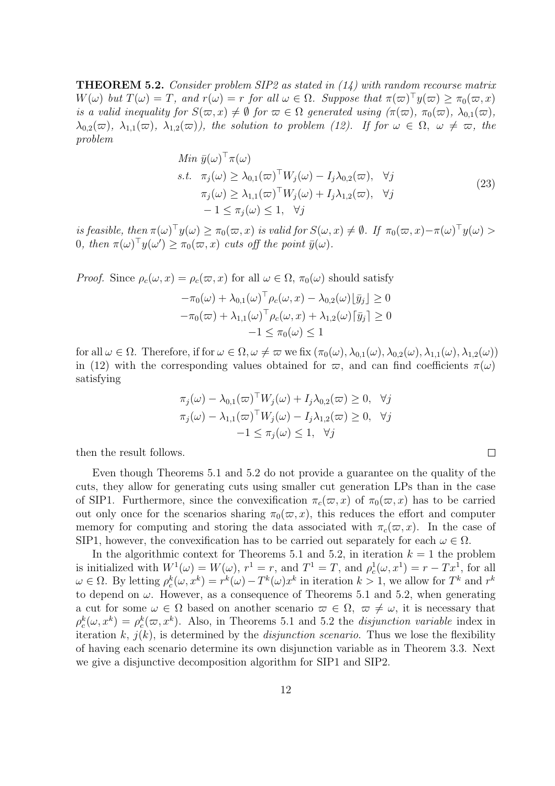**THEOREM 5.2.** Consider problem SIP2 as stated in  $(14)$  with random recourse matrix  $W(\omega)$  but  $T(\omega) = T$ , and  $r(\omega) = r$  for all  $\omega \in \Omega$ . Suppose that  $\pi(\varpi)^{\top}y(\varpi) \geq \pi_0(\varpi, x)$ is a valid inequality for  $S(\overline{\omega}, x) \neq \emptyset$  for  $\overline{\omega} \in \Omega$  generated using  $(\pi(\overline{\omega}), \pi_0(\overline{\omega}), \lambda_{0,1}(\overline{\omega}),$  $\lambda_{0,2}(\varpi), \lambda_{1,1}(\varpi), \lambda_{1,2}(\varpi)$ , the solution to problem (12). If for  $\omega \in \Omega, \omega \neq \varpi$ , the problem

Min 
$$
\bar{y}(\omega)^\top \pi(\omega)
$$
  
\ns.t.  $\pi_j(\omega) \geq \lambda_{0,1}(\varpi)^\top W_j(\omega) - I_j \lambda_{0,2}(\varpi), \quad \forall j$   
\n $\pi_j(\omega) \geq \lambda_{1,1}(\varpi)^\top W_j(\omega) + I_j \lambda_{1,2}(\varpi), \quad \forall j$   
\n $-1 \leq \pi_j(\omega) \leq 1, \quad \forall j$  (23)

is feasible, then  $\pi(\omega)^\top y(\omega) \geq \pi_0(\varpi, x)$  is valid for  $S(\omega, x) \neq \emptyset$ . If  $\pi_0(\varpi, x) - \pi(\omega)^\top y(\omega) >$ 0, then  $\pi(\omega)^{\top}y(\omega') \geq \pi_0(\varpi, x)$  cuts off the point  $\bar{y}(\omega)$ .

*Proof.* Since  $\rho_c(\omega, x) = \rho_c(\varpi, x)$  for all  $\omega \in \Omega$ ,  $\pi_0(\omega)$  should satisfy  $-\pi_0(\omega) + \lambda_{0,1}(\omega)^\top \rho_c(\omega, x) - \lambda_{0,2}(\omega) \lfloor \bar{y}_j \rfloor \geq 0$  $-\pi_0(\varpi) + \lambda_{1,1}(\omega)^\top \rho_c(\omega, x) + \lambda_{1,2}(\omega) [\bar{y}_j] \geq 0$  $-1 \leq \pi_0(\omega) \leq 1$ 

for all  $\omega \in \Omega$ . Therefore, if for  $\omega \in \Omega$ ,  $\omega \neq \omega$  we fix  $(\pi_0(\omega), \lambda_{0,1}(\omega), \lambda_{0,2}(\omega), \lambda_{1,1}(\omega), \lambda_{1,2}(\omega))$ in (12) with the corresponding values obtained for  $\varpi$ , and can find coefficients  $\pi(\omega)$ satisfying

$$
\pi_j(\omega) - \lambda_{0,1}(\varpi)^\top W_j(\omega) + I_j \lambda_{0,2}(\varpi) \ge 0, \quad \forall j
$$
  

$$
\pi_j(\omega) - \lambda_{1,1}(\varpi)^\top W_j(\omega) - I_j \lambda_{1,2}(\varpi) \ge 0, \quad \forall j
$$
  

$$
-1 \le \pi_j(\omega) \le 1, \quad \forall j
$$

then the result follows.

Even though Theorems 5.1 and 5.2 do not provide a guarantee on the quality of the cuts, they allow for generating cuts using smaller cut generation LPs than in the case of SIP1. Furthermore, since the convexification  $\pi_c(\varpi, x)$  of  $\pi_0(\varpi, x)$  has to be carried out only once for the scenarios sharing  $\pi_0(\varpi, x)$ , this reduces the effort and computer memory for computing and storing the data associated with  $\pi_c(\varpi, x)$ . In the case of SIP1, however, the convexification has to be carried out separately for each  $\omega \in \Omega$ .

In the algorithmic context for Theorems 5.1 and 5.2, in iteration  $k = 1$  the problem is initialized with  $W^1(\omega) = W(\omega)$ ,  $r^1 = r$ , and  $T^1 = T$ , and  $\rho_c^1(\omega, x^1) = r - Tx^1$ , for all  $\omega \in \Omega$ . By letting  $\rho_c^k(\omega, x^k) = r^k(\omega) - T^k(\omega) x^k$  in iteration  $k > 1$ , we allow for  $T^k$  and  $r^k$ to depend on  $\omega$ . However, as a consequence of Theorems 5.1 and 5.2, when generating a cut for some  $\omega \in \Omega$  based on another scenario  $\omega \in \Omega$ ,  $\omega \neq \omega$ , it is necessary that  $\rho_c^k(\omega, x^k) = \rho_c^k(\omega, x^k)$ . Also, in Theorems 5.1 and 5.2 the *disjunction variable* index in iteration k,  $j(k)$ , is determined by the *disjunction scenario*. Thus we lose the flexibility of having each scenario determine its own disjunction variable as in Theorem 3.3. Next we give a disjunctive decomposition algorithm for SIP1 and SIP2.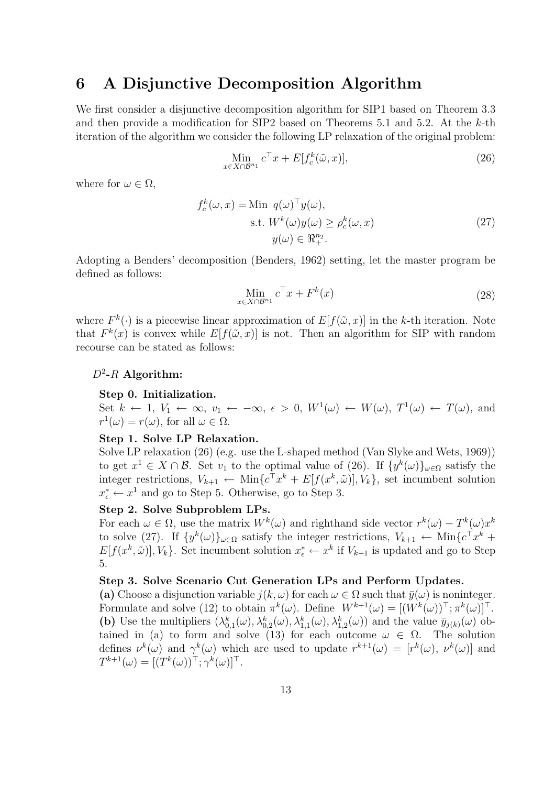# 6 A Disjunctive Decomposition Algorithm

We first consider a disjunctive decomposition algorithm for SIP1 based on Theorem 3.3 and then provide a modification for SIP2 based on Theorems 5.1 and 5.2. At the  $k$ -th iteration of the algorithm we consider the following LP relaxation of the original problem:

$$
\lim_{x \in X \cap \mathcal{B}^{n_1}} c^{\top} x + E[f_c^k(\tilde{\omega}, x)],\tag{26}
$$

where for  $\omega \in \Omega$ ,

$$
f_c^k(\omega, x) = \text{Min } q(\omega)^\top y(\omega),
$$
  
s.t.  $W^k(\omega)y(\omega) \ge \rho_c^k(\omega, x)$   
 $y(\omega) \in \mathbb{R}^{n_2}_+.$  (27)

Adopting a Benders' decomposition (Benders, 1962) setting, let the master program be defined as follows:

$$
\lim_{x \in X \cap \mathcal{B}^{n_1}} c^{\top} x + F^k(x) \tag{28}
$$

where  $F^k(\cdot)$  is a piecewise linear approximation of  $E[f(\tilde{\omega},x)]$  in the k-th iteration. Note that  $F^k(x)$  is convex while  $E[f(\tilde{\omega},x)]$  is not. Then an algorithm for SIP with random recourse can be stated as follows:

## $D^2$ -R Algorithm:

## Step 0. Initialization.

Set  $k \leftarrow 1, V_1 \leftarrow \infty, v_1 \leftarrow -\infty, \epsilon > 0, W^1(\omega) \leftarrow W(\omega), T^1(\omega) \leftarrow T(\omega), \text{ and}$  $r^1(\omega) = r(\omega)$ , for all  $\omega \in \Omega$ .

## Step 1. Solve LP Relaxation.

Solve LP relaxation (26) (e.g. use the L-shaped method (Van Slyke and Wets, 1969)) to get  $x^1 \in X \cap B$ . Set  $v_1$  to the optimal value of (26). If  $\{y^k(\omega)\}_{\omega \in \Omega}$  satisfy the integer restrictions,  $V_{k+1} \leftarrow \text{Min}\lbrace c^{\top} x^k + E[f(x^k, \tilde{\omega})], V_k \rbrace$ , set incumbent solution  $x_{\epsilon}^* \leftarrow x^1$  and go to Step 5. Otherwise, go to Step 3.

#### Step 2. Solve Subproblem LPs.

For each  $\omega \in \Omega$ , use the matrix  $W^k(\omega)$  and righthand side vector  $r^k(\omega) - T^k(\omega)x^k$ to solve (27). If  $\{y^k(\omega)\}_{\omega \in \Omega}$  satisfy the integer restrictions,  $V_{k+1} \leftarrow \text{Min}\{c^{\top}x^k +$  $E[f(x^k, \tilde{\omega})], V_k$ . Set incumbent solution  $x^*_{\epsilon} \leftarrow x^k$  if  $V_{k+1}$  is updated and go to Step 5.

## Step 3. Solve Scenario Cut Generation LPs and Perform Updates.

(a) Choose a disjunction variable  $j(k, \omega)$  for each  $\omega \in \Omega$  such that  $\bar{y}(\omega)$  is noninteger. Formulate and solve (12) to obtain  $\pi^k(\omega)$ . Define  $W^{k+1}(\omega) = [(W^k(\omega))^{\top}; \pi^k(\omega)]^{\top}$ . (b) Use the multipliers  $(\lambda_{0,1}^k(\omega), \lambda_{0,2}^k(\omega), \lambda_{1,1}^k(\omega), \lambda_{1,2}^k(\omega))$  and the value  $\bar{y}_{j(k)}(\omega)$  obtained in (a) to form and solve (13) for each outcome  $\omega \in \Omega$ . The solution defines  $\nu^k(\omega)$  and  $\gamma^k(\omega)$  which are used to update  $r^{k+1}(\omega) = [r^k(\omega), \nu^k(\omega)]$  and  $T^{k+1}(\omega) = [(T^k(\omega))^{\top}; \gamma^k(\omega)]^{\top}.$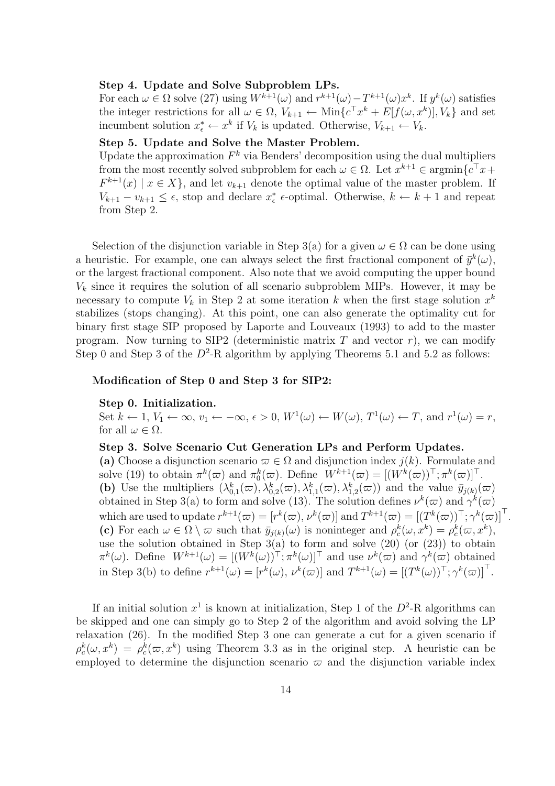## Step 4. Update and Solve Subproblem LPs.

For each  $\omega \in \Omega$  solve (27) using  $W^{k+1}(\omega)$  and  $r^{k+1}(\omega) - T^{k+1}(\omega)x^k$ . If  $y^k(\omega)$  satisfies the integer restrictions for all  $\omega \in \Omega$ ,  $V_{k+1} \leftarrow \text{Min}\lbrace c^{\top} x^k + E[f(\omega, x^k)], V_k \rbrace$  and set incumbent solution  $x_{\epsilon}^* \leftarrow x^k$  if  $V_k$  is updated. Otherwise,  $V_{k+1} \leftarrow V_k$ .

## Step 5. Update and Solve the Master Problem.

Update the approximation  $F^k$  via Benders' decomposition using the dual multipliers from the most recently solved subproblem for each  $\omega \in \Omega$ . Let  $x^{k+1} \in \operatorname{argmin} \{ c^{\top} x + c^{\top} x + c^{\top} x + c^{\top} x + c^{\top} x + c^{\top} x + c^{\top} x + c^{\top} x + c^{\top} x + c^{\top} x + c^{\top} x + c^{\top} x + c^{\top} x + c^{\top} x + c^{\top} x + c^{\top} x + c^{\top} x + c^{\top} x + c^{\top} x + c^{\top} x$  $F^{k+1}(x) \mid x \in X$ , and let  $v_{k+1}$  denote the optimal value of the master problem. If  $V_{k+1} - v_{k+1} \leq \epsilon$ , stop and declare  $x_{\epsilon}^*$  e-optimal. Otherwise,  $k \leftarrow k+1$  and repeat from Step 2.

Selection of the disjunction variable in Step 3(a) for a given  $\omega \in \Omega$  can be done using a heuristic. For example, one can always select the first fractional component of  $\bar{y}^k(\omega)$ , or the largest fractional component. Also note that we avoid computing the upper bound  $V_k$  since it requires the solution of all scenario subproblem MIPs. However, it may be necessary to compute  $V_k$  in Step 2 at some iteration k when the first stage solution  $x^k$ stabilizes (stops changing). At this point, one can also generate the optimality cut for binary first stage SIP proposed by Laporte and Louveaux (1993) to add to the master program. Now turning to SIP2 (deterministic matrix  $T$  and vector  $r$ ), we can modify Step 0 and Step 3 of the  $D^2$ -R algorithm by applying Theorems 5.1 and 5.2 as follows:

#### Modification of Step 0 and Step 3 for SIP2:

#### Step 0. Initialization.

Set  $k \leftarrow 1, V_1 \leftarrow \infty, v_1 \leftarrow -\infty, \epsilon > 0, W^1(\omega) \leftarrow W(\omega), T^1(\omega) \leftarrow T$ , and  $r^1(\omega) = r$ , for all  $\omega \in \Omega$ .

Step 3. Solve Scenario Cut Generation LPs and Perform Updates. (a) Choose a disjunction scenario  $\varpi \in \Omega$  and disjunction index  $j(k)$ . Formulate and solve (19) to obtain  $\pi^k(\varpi)$  and  $\pi^k_0(\varpi)$ . Define  $W^{k+1}(\varpi) = [(W^k(\varpi))^{\top}; \pi^k(\varpi)]^{\top}$ . (b) Use the multipliers  $(\lambda_{0,1}^k(\varpi), \lambda_{0,2}^k(\varpi), \lambda_{1,1}^k(\varpi), \lambda_{1,2}^k(\varpi))$  and the value  $\bar{y}_{j(k)}(\varpi)$ obtained in Step 3(a) to form and solve (13). The solution defines  $\nu^k(\varpi)$  and  $\gamma^k(\varpi)$ which are used to update  $r^{k+1}(\varpi) = [r^k(\varpi), \nu^k(\varpi)]$  and  $T^{k+1}(\varpi) = [(T^k(\varpi))^{\top}, \gamma^k(\varpi)]^{\top}$ . (c) For each  $\omega \in \Omega \setminus \varpi$  such that  $\bar{y}_{j(k)}(\omega)$  is noninteger and  $\rho_c^k(\omega, x^k) = \rho_c^k(\omega, x^k)$ , use the solution obtained in Step  $3(a)$  to form and solve  $(20)$  (or  $(23)$ ) to obtain  $\pi^k(\omega)$ . Define  $W^{k+1}(\omega) = [(W^k(\omega))^{\top}; \pi^k(\omega)]^{\top}$  and use  $\nu^k(\varpi)$  and  $\gamma^k(\varpi)$  obtained in Step 3(b) to define  $r^{k+1}(\omega) = [r^k(\omega), \nu^k(\varpi)]$  and  $T^{k+1}(\omega) = [(T^k(\omega))^{\top}, \gamma^k(\varpi)]^{\top}$ .

If an initial solution  $x^1$  is known at initialization, Step 1 of the  $D^2$ -R algorithms can be skipped and one can simply go to Step 2 of the algorithm and avoid solving the LP relaxation (26). In the modified Step 3 one can generate a cut for a given scenario if  $\rho_c^k(\omega, x^k) = \rho_c^k(\omega, x^k)$  using Theorem 3.3 as in the original step. A heuristic can be employed to determine the disjunction scenario  $\varpi$  and the disjunction variable index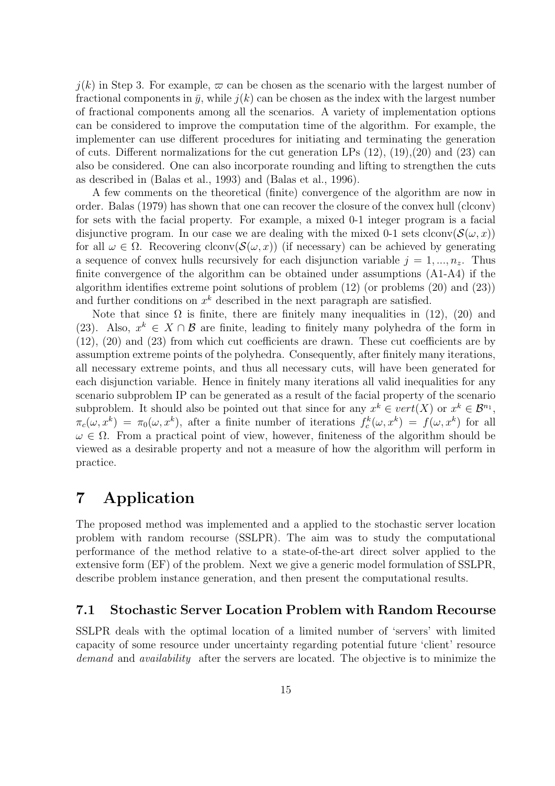$j(k)$  in Step 3. For example,  $\varpi$  can be chosen as the scenario with the largest number of fractional components in  $\bar{y}$ , while  $i(k)$  can be chosen as the index with the largest number of fractional components among all the scenarios. A variety of implementation options can be considered to improve the computation time of the algorithm. For example, the implementer can use different procedures for initiating and terminating the generation of cuts. Different normalizations for the cut generation LPs  $(12)$ ,  $(19)$ ,  $(20)$  and  $(23)$  can also be considered. One can also incorporate rounding and lifting to strengthen the cuts as described in (Balas et al., 1993) and (Balas et al., 1996).

A few comments on the theoretical (finite) convergence of the algorithm are now in order. Balas (1979) has shown that one can recover the closure of the convex hull (clconv) for sets with the facial property. For example, a mixed 0-1 integer program is a facial disjunctive program. In our case we are dealing with the mixed 0-1 sets clconv $(\mathcal{S}(\omega, x))$ for all  $\omega \in \Omega$ . Recovering clconv $(\mathcal{S}(\omega, x))$  (if necessary) can be achieved by generating a sequence of convex hulls recursively for each disjunction variable  $j = 1, ..., n_z$ . Thus finite convergence of the algorithm can be obtained under assumptions (A1-A4) if the algorithm identifies extreme point solutions of problem (12) (or problems (20) and (23)) and further conditions on  $x^k$  described in the next paragraph are satisfied.

Note that since  $\Omega$  is finite, there are finitely many inequalities in (12), (20) and (23). Also,  $x^k \in X \cap B$  are finite, leading to finitely many polyhedra of the form in (12), (20) and (23) from which cut coefficients are drawn. These cut coefficients are by assumption extreme points of the polyhedra. Consequently, after finitely many iterations, all necessary extreme points, and thus all necessary cuts, will have been generated for each disjunction variable. Hence in finitely many iterations all valid inequalities for any scenario subproblem IP can be generated as a result of the facial property of the scenario subproblem. It should also be pointed out that since for any  $x^k \in vert(X)$  or  $x^k \in \mathcal{B}^{n_1}$ ,  $\pi_c(\omega, x^k) = \pi_0(\omega, x^k)$ , after a finite number of iterations  $f_c^k(\omega, x^k) = f(\omega, x^k)$  for all  $\omega \in \Omega$ . From a practical point of view, however, finiteness of the algorithm should be viewed as a desirable property and not a measure of how the algorithm will perform in practice.

# 7 Application

The proposed method was implemented and a applied to the stochastic server location problem with random recourse (SSLPR). The aim was to study the computational performance of the method relative to a state-of-the-art direct solver applied to the extensive form (EF) of the problem. Next we give a generic model formulation of SSLPR, describe problem instance generation, and then present the computational results.

# 7.1 Stochastic Server Location Problem with Random Recourse

SSLPR deals with the optimal location of a limited number of 'servers' with limited capacity of some resource under uncertainty regarding potential future 'client' resource demand and *availability* after the servers are located. The objective is to minimize the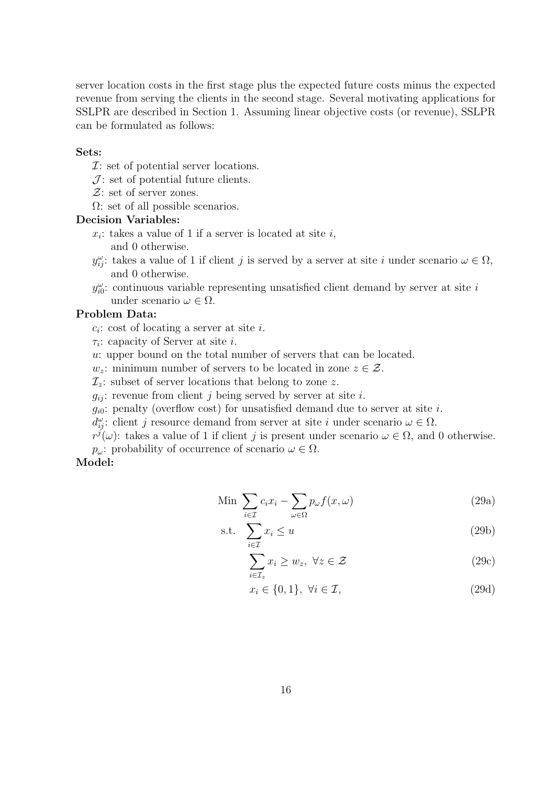server location costs in the first stage plus the expected future costs minus the expected revenue from serving the clients in the second stage. Several motivating applications for SSLPR are described in Section 1. Assuming linear objective costs (or revenue), SSLPR can be formulated as follows:

### Sets:

- $\mathcal{I}:$  set of potential server locations.
- $J$ : set of potential future clients.
- $\mathcal{Z}$ : set of server zones.
- $\Omega$ : set of all possible scenarios.

### Decision Variables:

- $x_i$ : takes a value of 1 if a server is located at site i, and 0 otherwise.
- $y_{ij}^{\omega}$ : takes a value of 1 if client j is served by a server at site i under scenario  $\omega \in \Omega$ , and 0 otherwise.
- $y_{i0}^{\omega}$ : continuous variable representing unsatisfied client demand by server at site i under scenario  $\omega \in \Omega$ .

## Problem Data:

- $c_i$ : cost of locating a server at site i.
- $\tau_i$ : capacity of Server at site *i*.
- u: upper bound on the total number of servers that can be located.
- $w_z$ : minimum number of servers to be located in zone  $z \in \mathcal{Z}$ .
- $\mathcal{I}_z$ : subset of server locations that belong to zone z.
- $g_{ij}$ : revenue from client j being served by server at site i.
- $g_{i0}$ : penalty (overflow cost) for unsatisfied demand due to server at site i.
- $d_{ij}^{\omega}$ : client j resource demand from server at site i under scenario  $\omega \in \Omega$ .

 $r^{j}(\omega)$ : takes a value of 1 if client j is present under scenario  $\omega \in \Omega$ , and 0 otherwise.  $p_{\omega}$ : probability of occurrence of scenario  $\omega \in \Omega$ .

#### Model:

Min 
$$
\sum_{i \in \mathcal{I}} c_i x_i - \sum_{\omega \in \Omega} p_{\omega} f(x, \omega)
$$
 (29a)

$$
\text{s.t.} \quad \sum_{i \in \mathcal{I}} x_i \le u \tag{29b}
$$

$$
\sum_{i \in \mathcal{I}_z}^{i \in \mathcal{I}} x_i \ge w_z, \ \forall z \in \mathcal{Z}
$$
\n(29c)

$$
x_i \in \{0, 1\}, \ \forall i \in \mathcal{I}, \tag{29d}
$$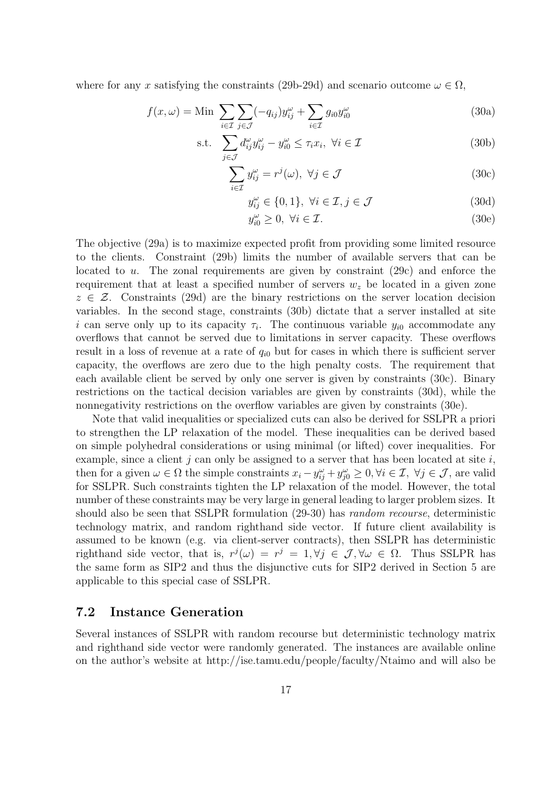where for any x satisfying the constraints (29b-29d) and scenario outcome  $\omega \in \Omega$ ,

$$
f(x,\omega) = \text{Min} \sum_{i \in \mathcal{I}} \sum_{j \in \mathcal{J}} (-q_{ij}) y_{ij}^{\omega} + \sum_{i \in \mathcal{I}} g_{i0} y_{i0}^{\omega} \tag{30a}
$$

s.t. 
$$
\sum_{j \in \mathcal{J}} d_{ij}^{\omega} y_{ij}^{\omega} - y_{i0}^{\omega} \leq \tau_i x_i, \ \forall i \in \mathcal{I}
$$
 (30b)

$$
\sum_{i \in \mathcal{I}} y_{ij}^{\omega} = r^j(\omega), \ \forall j \in \mathcal{J}
$$
 (30c)

$$
y_{ij}^{\omega} \in \{0, 1\}, \ \forall i \in \mathcal{I}, j \in \mathcal{J}
$$
\n
$$
(30d)
$$

$$
y_{i0}^{\omega} \ge 0, \ \forall i \in \mathcal{I}.\tag{30e}
$$

The objective (29a) is to maximize expected profit from providing some limited resource to the clients. Constraint (29b) limits the number of available servers that can be located to u. The zonal requirements are given by constraint (29c) and enforce the requirement that at least a specified number of servers  $w<sub>z</sub>$  be located in a given zone  $z \in \mathcal{Z}$ . Constraints (29d) are the binary restrictions on the server location decision variables. In the second stage, constraints (30b) dictate that a server installed at site i can serve only up to its capacity  $\tau_i$ . The continuous variable  $y_{i0}$  accommodate any overflows that cannot be served due to limitations in server capacity. These overflows result in a loss of revenue at a rate of  $q_{i0}$  but for cases in which there is sufficient server capacity, the overflows are zero due to the high penalty costs. The requirement that each available client be served by only one server is given by constraints (30c). Binary restrictions on the tactical decision variables are given by constraints (30d), while the nonnegativity restrictions on the overflow variables are given by constraints (30e).

Note that valid inequalities or specialized cuts can also be derived for SSLPR a priori to strengthen the LP relaxation of the model. These inequalities can be derived based on simple polyhedral considerations or using minimal (or lifted) cover inequalities. For example, since a client j can only be assigned to a server that has been located at site  $i$ , then for a given  $\omega \in \Omega$  the simple constraints  $x_i - y_{ij}^{\omega} + y_{j0}^{\omega} \geq 0, \forall i \in \mathcal{I}, \forall j \in \mathcal{J}$ , are valid for SSLPR. Such constraints tighten the LP relaxation of the model. However, the total number of these constraints may be very large in general leading to larger problem sizes. It should also be seen that SSLPR formulation (29-30) has random recourse, deterministic technology matrix, and random righthand side vector. If future client availability is assumed to be known (e.g. via client-server contracts), then SSLPR has deterministic righthand side vector, that is,  $r^j(\omega) = r^j = 1, \forall j \in \mathcal{J}, \forall \omega \in \Omega$ . Thus SSLPR has the same form as SIP2 and thus the disjunctive cuts for SIP2 derived in Section 5 are applicable to this special case of SSLPR.

# 7.2 Instance Generation

Several instances of SSLPR with random recourse but deterministic technology matrix and righthand side vector were randomly generated. The instances are available online on the author's website at http://ise.tamu.edu/people/faculty/Ntaimo and will also be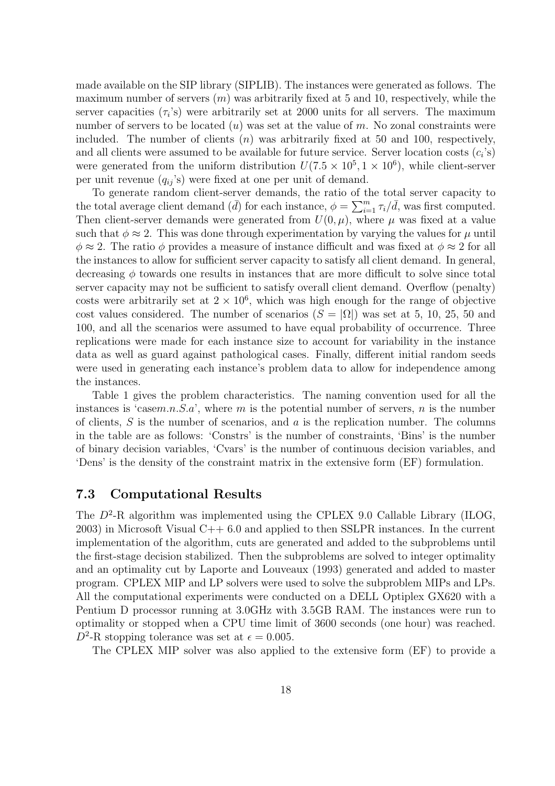made available on the SIP library (SIPLIB). The instances were generated as follows. The maximum number of servers  $(m)$  was arbitrarily fixed at 5 and 10, respectively, while the server capacities  $(\tau_i)$  were arbitrarily set at 2000 units for all servers. The maximum number of servers to be located  $(u)$  was set at the value of m. No zonal constraints were included. The number of clients  $(n)$  was arbitrarily fixed at 50 and 100, respectively, and all clients were assumed to be available for future service. Server location costs  $(c_i)$ were generated from the uniform distribution  $U(7.5 \times 10^5, 1 \times 10^6)$ , while client-server per unit revenue  $(q_{ij}$ 's) were fixed at one per unit of demand.

To generate random client-server demands, the ratio of the total server capacity to To generate random chem-server demands, the ratio of the total average client demand  $(\bar{d})$  for each instance,  $\phi = \sum_{i=1}^{m}$  $\sum_{i=1}^{m} \tau_i / d$ , was first computed. Then client-server demands were generated from  $U(0, \mu)$ , where  $\mu$  was fixed at a value such that  $\phi \approx 2$ . This was done through experimentation by varying the values for  $\mu$  until  $\phi \approx 2$ . The ratio  $\phi$  provides a measure of instance difficult and was fixed at  $\phi \approx 2$  for all the instances to allow for sufficient server capacity to satisfy all client demand. In general, decreasing  $\phi$  towards one results in instances that are more difficult to solve since total server capacity may not be sufficient to satisfy overall client demand. Overflow (penalty) costs were arbitrarily set at  $2 \times 10^6$ , which was high enough for the range of objective cost values considered. The number of scenarios  $(S = |\Omega|)$  was set at 5, 10, 25, 50 and 100, and all the scenarios were assumed to have equal probability of occurrence. Three replications were made for each instance size to account for variability in the instance data as well as guard against pathological cases. Finally, different initial random seeds were used in generating each instance's problem data to allow for independence among the instances.

Table 1 gives the problem characteristics. The naming convention used for all the instances is 'casem.n.S.a', where m is the potential number of servers, n is the number of clients,  $S$  is the number of scenarios, and  $a$  is the replication number. The columns in the table are as follows: 'Constrs' is the number of constraints, 'Bins' is the number of binary decision variables, 'Cvars' is the number of continuous decision variables, and 'Dens' is the density of the constraint matrix in the extensive form (EF) formulation.

## 7.3 Computational Results

The  $D^2$ -R algorithm was implemented using the CPLEX 9.0 Callable Library (ILOG, 2003) in Microsoft Visual C++ 6.0 and applied to then SSLPR instances. In the current implementation of the algorithm, cuts are generated and added to the subproblems until the first-stage decision stabilized. Then the subproblems are solved to integer optimality and an optimality cut by Laporte and Louveaux (1993) generated and added to master program. CPLEX MIP and LP solvers were used to solve the subproblem MIPs and LPs. All the computational experiments were conducted on a DELL Optiplex GX620 with a Pentium D processor running at 3.0GHz with 3.5GB RAM. The instances were run to optimality or stopped when a CPU time limit of 3600 seconds (one hour) was reached.  $D^2$ -R stopping tolerance was set at  $\epsilon = 0.005$ .

The CPLEX MIP solver was also applied to the extensive form (EF) to provide a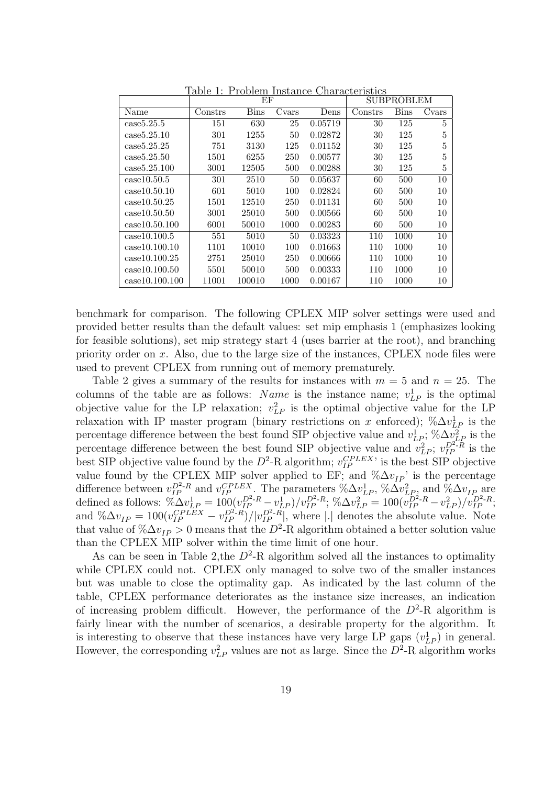|                |         | ΕF          |       | <b>SUBPROBLEM</b> |                |      |       |
|----------------|---------|-------------|-------|-------------------|----------------|------|-------|
| Name           | Constrs | <b>Bins</b> | Cvars | Dens              | $\rm{Constrs}$ | Bins | Cvars |
| case5.25.5     | 151     | 630         | 25    | 0.05719           | 30             | 125  | 5     |
| case5.25.10    | 301     | 1255        | 50    | 0.02872           | 30             | 125  | 5     |
| case5.25.25    | 751     | 3130        | 125   | 0.01152           | 30             | 125  | 5     |
| case5.25.50    | 1501    | 6255        | 250   | 0.00577           | 30             | 125  | 5     |
| case5.25.100   | 3001    | 12505       | 500   | 0.00288           | 30             | 125  | 5     |
| case10.50.5    | 301     | 2510        | 50    | 0.05637           | 60             | 500  | 10    |
| case10.50.10   | 601     | 5010        | 100   | 0.02824           | 60             | 500  | 10    |
| case10.50.25   | 1501    | 12510       | 250   | 0.01131           | 60             | 500  | 10    |
| case10.50.50   | 3001    | 25010       | 500   | 0.00566           | 60             | 500  | 10    |
| case10.50.100  | 6001    | 50010       | 1000  | 0.00283           | 60             | 500  | 10    |
| case10.100.5   | 551     | 5010        | 50    | 0.03323           | 110            | 1000 | 10    |
| case10.100.10  | 1101    | 10010       | 100   | 0.01663           | 110            | 1000 | 10    |
| case10.100.25  | 2751    | 25010       | 250   | 0.00666           | 110            | 1000 | 10    |
| case10.100.50  | 5501    | 50010       | 500   | 0.00333           | 110            | 1000 | 10    |
| case10.100.100 | 11001   | 100010      | 1000  | 0.00167           | 110            | 1000 | 10    |

Table 1: Problem Instance Characteristics

benchmark for comparison. The following CPLEX MIP solver settings were used and provided better results than the default values: set mip emphasis 1 (emphasizes looking for feasible solutions), set mip strategy start 4 (uses barrier at the root), and branching priority order on x. Also, due to the large size of the instances, CPLEX node files were used to prevent CPLEX from running out of memory prematurely.

Table 2 gives a summary of the results for instances with  $m = 5$  and  $n = 25$ . The columns of the table are as follows: *Name* is the instance name;  $v_{LP}^1$  is the optimal objective value for the LP relaxation;  $v_{LP}^2$  is the optimal objective value for the LP relaxation with IP master program (binary restrictions on x enforced);  $\%\Delta v_{LP}^1$  is the percentage difference between the best found SIP objective value and  $v_{LP}^1$ ; % $\Delta v_{LP}^2$  is the percentage difference between the best found SIP objective value and  $v_{LP}^2$ ;  $v_{IP}^{D^2 \to R}$  is the best SIP objective value found by the  $D^2$ -R algorithm;  $v_{IP}^{CPLEX}$  is the best SIP objective value found by the CPLEX MIP solver applied to EF; and  $\%\Delta v_{IP}$ ' is the percentage difference between  $v_{IP}^{D^2-R}$  and  $v_{IP}^{CPLEX}$ . The parameters  $\%\Delta v_{LP}^1$ ,  $\%\Delta v_{LP}^2$  and  $\%\Delta v_{IP}$  are defined as follows:  $\overline{v_{\Delta}^2 v_{LP}^1} = \frac{100(v_{IP}^{D^2-R} - v_{LP}^1)/v_{IP}^{D^2-R}}{v_{LP}^{D^2/R}}$ ;  $\sqrt[n]{\Delta v_{LP}^2} = \frac{100(v_{IP}^{D^2-R} - v_{LP}^2)/v_{IP}^{D^2-R}}{v_{LP}^{D^2/R}}$ ; and  $\%\Delta v_{IP} = 100(v_{IP}^{CPLE}X - v_{IP}^{D^2 \cdot R})/|v_{IP}^{D^2 \cdot R}|$ , where || denotes the absolute value. Note that value of  $\% \Delta v_{IP} > 0$  means that the  $D^2$ -R algorithm obtained a better solution value than the CPLEX MIP solver within the time limit of one hour.

As can be seen in Table 2, the  $D^2$ -R algorithm solved all the instances to optimality while CPLEX could not. CPLEX only managed to solve two of the smaller instances but was unable to close the optimality gap. As indicated by the last column of the table, CPLEX performance deteriorates as the instance size increases, an indication of increasing problem difficult. However, the performance of the  $D^2$ -R algorithm is fairly linear with the number of scenarios, a desirable property for the algorithm. It is interesting to observe that these instances have very large LP gaps  $(v_{LP}^1)$  in general. However, the corresponding  $v_{LP}^2$  values are not as large. Since the  $D^2$ -R algorithm works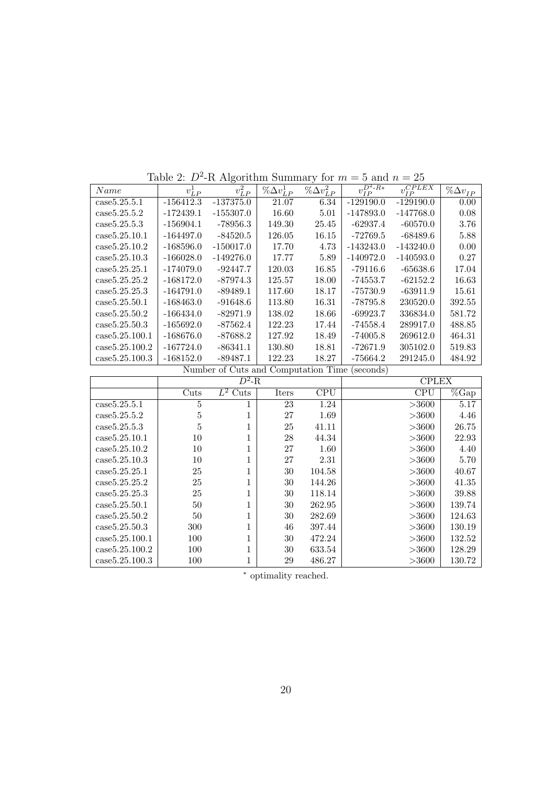| Name           | $v^1_{LP}$  | $v_{LP}^2$                          | $\%\Delta v_{LP}^1$ | $\%\Delta v_{LP}^2$ | $\overline{v_{IP}^{D^2-R*}}$ | $v_{IP}^{CPLEX}$ | $\%\Delta v_{IP}$ |
|----------------|-------------|-------------------------------------|---------------------|---------------------|------------------------------|------------------|-------------------|
| case5.25.5.1   | $-156412.3$ | $-137375.0$                         | 21.07               | 6.34                | $-129190.0$                  | $-129190.0$      | 0.00              |
| case5.25.5.2   | $-172439.1$ | $-155307.0$                         | 16.60               | 5.01                | $-147893.0$                  | $-147768.0$      | 0.08              |
| case5.25.5.3   | $-156904.1$ | -78956.3                            | 149.30              | 25.45               | $-62937.4$                   | $-60570.0$       | 3.76              |
| case5.25.10.1  | $-164497.0$ | $-84520.5$                          | 126.05              | 16.15               | $-72769.5$                   | $-68489.6$       | 5.88              |
| case5.25.10.2  | $-168596.0$ | $-150017.0$                         | 17.70               | 4.73                | $-143243.0$                  | $-143240.0$      | 0.00              |
| case5.25.10.3  | $-166028.0$ | $-149276.0$                         | 17.77               | 5.89                | $-140972.0$                  | $-140593.0$      | 0.27              |
| case5.25.25.1  | $-174079.0$ | $-92447.7$                          | 120.03              | 16.85               | $-79116.6$                   | $-65638.6$       | 17.04             |
| case5.25.25.2  | $-168172.0$ | $-87974.3$                          | 125.57              | 18.00               | -74553.7                     | $-62152.2$       | 16.63             |
| case5.25.25.3  | $-164791.0$ | $-89489.1$                          | 117.60              | 18.17               | $-75730.9$                   | $-63911.9$       | 15.61             |
| case5.25.50.1  | $-168463.0$ | $-91648.6$                          | 113.80              | 16.31               | -78795.8                     | 230520.0         | 392.55            |
| case5.25.50.2  | $-166434.0$ | $-82971.9$                          | 138.02              | 18.66               | $-69923.7$                   | 336834.0         | 581.72            |
| case5.25.50.3  | $-165692.0$ | $-87562.4$                          | 122.23              | 17.44               | $-74558.4$                   | 289917.0         | 488.85            |
| case5.25.100.1 | $-168676.0$ | $-87688.2$                          | 127.92              | 18.49               | $-74005.8$                   | 269612.0         | 464.31            |
| case5.25.100.2 | $-167724.0$ | $-86341.1$                          | 130.80              | 18.81               | $-72671.9$                   | 305102.0         | 519.83            |
| case5.25.100.3 | $-168152.0$ | $-89487.1$                          | 122.23              | 18.27               | -75664.2                     | 291245.0         | 484.92            |
|                |             | Number of Cuts and Computation Time |                     |                     | (seconds)                    |                  |                   |
|                |             | $\overline{D^2-R}$                  |                     |                     |                              | <b>CPLEX</b>     |                   |
|                | Cuts        | $L^2$ Cuts                          | Iters               | CPU                 |                              | CPU              | $\%$ Gan          |

Table 2:  $D^2$ -R Algorithm Summary for  $m = 5$  and  $n = 25$ 

|                | $D^2$ -R |                       |       | <b>CPLEX</b> |            |          |
|----------------|----------|-----------------------|-------|--------------|------------|----------|
|                | Cuts     | $\overline{L^2}$ Cuts | Iters | <b>CPU</b>   | <b>CPU</b> | $\%$ Gap |
| case5.25.5.1   | 5        | 1                     | 23    | 1.24         | >3600      | 5.17     |
| case5.25.5.2   | 5        |                       | 27    | 1.69         | >3600      | 4.46     |
| case5.25.5.3   | 5        |                       | 25    | 41.11        | >3600      | 26.75    |
| case5.25.10.1  | 10       | T                     | 28    | 44.34        | >3600      | 22.93    |
| case5.25.10.2  | 10       |                       | 27    | 1.60         | >3600      | 4.40     |
| case5.25.10.3  | 10       |                       | 27    | 2.31         | >3600      | 5.70     |
| case5.25.25.1  | 25       | T                     | 30    | 104.58       | >3600      | 40.67    |
| case5.25.25.2  | 25       | T                     | 30    | 144.26       | >3600      | 41.35    |
| case5.25.25.3  | 25       |                       | 30    | 118.14       | >3600      | 39.88    |
| case5.25.50.1  | 50       |                       | 30    | 262.95       | >3600      | 139.74   |
| case5.25.50.2  | 50       |                       | 30    | 282.69       | >3600      | 124.63   |
| case5.25.50.3  | 300      | T                     | 46    | 397.44       | >3600      | 130.19   |
| case5.25.100.1 | 100      | 1                     | 30    | 472.24       | >3600      | 132.52   |
| case5.25.100.2 | 100      | 1                     | 30    | 633.54       | >3600      | 128.29   |
| case5.25.100.3 | 100      |                       | 29    | 486.27       | >3600      | 130.72   |

<sup>∗</sup> optimality reached.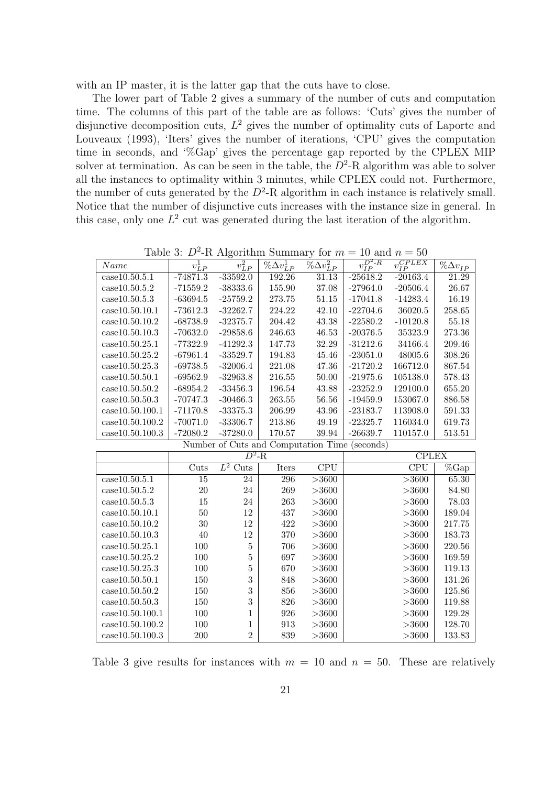with an IP master, it is the latter gap that the cuts have to close.

The lower part of Table 2 gives a summary of the number of cuts and computation time. The columns of this part of the table are as follows: 'Cuts' gives the number of disjunctive decomposition cuts,  $L^2$  gives the number of optimality cuts of Laporte and Louveaux (1993), 'Iters' gives the number of iterations, 'CPU' gives the computation time in seconds, and '%Gap' gives the percentage gap reported by the CPLEX MIP solver at termination. As can be seen in the table, the  $D^2$ -R algorithm was able to solver all the instances to optimality within 3 minutes, while CPLEX could not. Furthermore, the number of cuts generated by the  $D^2$ -R algorithm in each instance is relatively small. Notice that the number of disjunctive cuts increases with the instance size in general. In this case, only one  $L^2$  cut was generated during the last iteration of the algorithm.

| Name                                          | $v^1_{LP}$  | $v_{LP}^2$     | $\%\Delta v^1_{LP}$ | $\%\Delta v^2_{LP}$     | $\overline{v^{D^2-R}_{IP}}$                   | $\overline{v^{CPLEX}_{IP}}$ | $\%\Delta v_{\it LP}$  |
|-----------------------------------------------|-------------|----------------|---------------------|-------------------------|-----------------------------------------------|-----------------------------|------------------------|
| case10.50.5.1                                 | $-74871.3$  | $-33592.0$     | 192.26              | 31.13                   | $-25618.2$                                    | $-20163.4$                  | 21.29                  |
| case10.50.5.2                                 | $-71559.2$  | $-38333.6$     | 155.90              | 37.08                   | $-27964.0$                                    | $-20506.4$                  | 26.67                  |
| case10.50.5.3                                 | $-63694.5$  | $-25759.2$     | 273.75              | 51.15                   | $-17041.8$                                    | $-14283.4$                  | 16.19                  |
| case10.50.10.1                                | $-73612.3$  | $-32262.7$     | 224.22              | 42.10                   | $-22704.6$                                    | 36020.5                     | 258.65                 |
| case10.50.10.2                                | $-68738.9$  | $-32375.7$     | 204.42              | 43.38                   | $-22580.2$                                    | $-10120.8$                  | 55.18                  |
| case10.50.10.3                                | $-70632.0$  | $-29858.6$     | 246.63              | 46.53                   | $-20376.5$                                    | 35323.9                     | 273.36                 |
| case10.50.25.1                                | $-77322.9$  | $-41292.3$     | 147.73              | 32.29                   | $-31212.6$                                    | 34166.4                     | 209.46                 |
| case10.50.25.2                                | $-67961.4$  | $-33529.7$     | 194.83              | 45.46                   | $-23051.0$                                    | 48005.6                     | 308.26                 |
| case10.50.25.3                                | $-69738.5$  | $-32006.4$     | 221.08              | 47.36                   | $-21720.2$                                    | 166712.0                    | 867.54                 |
| case10.50.50.1                                | $-69562.9$  | $-32963.8$     | 216.55              | $50.00\,$               | $-21975.6$                                    | 105138.0                    | 578.43                 |
| case10.50.50.2                                | $-68954.2$  | $-33456.3$     | 196.54              | $\!3.88$                | $-23252.9$                                    | 129100.0                    | 655.20                 |
| case10.50.50.3                                | $-70747.3$  | $-30466.3$     | 263.55              | 56.56                   | $-19459.9$                                    | 153067.0                    | 886.58                 |
| case10.50.100.1                               | $-71170.8$  | $-33375.3$     | 206.99              | 43.96                   | $-23183.7$                                    | 113908.0                    | 591.33                 |
| case10.50.100.2                               | $-70071.0$  | $-33306.7$     | 213.86              | 49.19                   | $-22325.7$                                    | 116034.0                    | 619.73                 |
| case10.50.100.3                               | $-72080.2$  | $-37280.0$     | 170.57              | 39.94                   | $-26639.7$                                    | 110157.0                    | 513.51                 |
|                                               |             |                |                     |                         | Number of Cuts and Computation Time (seconds) |                             |                        |
|                                               |             |                |                     |                         |                                               |                             |                        |
|                                               |             | $D^2$ -R       |                     |                         |                                               | <b>CPLEX</b>                |                        |
|                                               | <b>Cuts</b> | $L^2$ Cuts     | <b>Iters</b>        | $\overline{\text{CPU}}$ |                                               | $\overline{\text{CPU}}$     | $\sqrt[6]{\text{Gap}}$ |
| case10.50.5.1                                 | 15          | 24             | 296                 | >3600                   |                                               | >3600                       | 65.30                  |
| case10.50.5.2                                 | 20          | 24             | 269                 | >3600                   |                                               | >3600                       | 84.80                  |
| case10.50.5.3                                 | 15          | 24             | 263                 | >3600                   |                                               | >3600                       | 78.03                  |
| case10.50.10.1                                | 50          | 12             | 437                 | >3600                   |                                               | >3600                       | 189.04                 |
| case10.50.10.2                                | $30\,$      | 12             | 422                 | >3600                   |                                               | >3600                       | 217.75                 |
| case10.50.10.3                                | 40          | 12             | 370                 | >3600                   |                                               | >3600                       | 183.73                 |
| case10.50.25.1                                | 100         | $\overline{5}$ | 706                 | >3600                   |                                               | >3600                       | 220.56                 |
| case10.50.25.2                                | 100         | 5              | 697                 | >3600                   |                                               | >3600                       | 169.59                 |
| case10.50.25.3                                | 100         | 5              | 670                 | >3600                   |                                               | >3600                       | 119.13                 |
| case10.50.50.1                                | 150         | 3              | 848                 | >3600                   |                                               | >3600                       | 131.26                 |
| case10.50.50.2                                | 150         | 3              | 856                 | >3600                   |                                               | >3600                       | 125.86                 |
| case10.50.50.3                                | 150         | 3              | 826                 | >3600                   |                                               | >3600                       | 119.88                 |
| case10.50.100.1                               | 100         | 1              | 926                 | >3600                   |                                               | >3600                       | 129.28                 |
| case10.50.100.2<br>$\mathrm{case}10.50.100.3$ | 100         | 1              | 913<br>839          | >3600                   |                                               | >3600                       | 128.70<br>133.83       |

Table 3:  $D^2$ -R Algorithm Summary for  $m = 10$  and  $n = 50$ 

Table 3 give results for instances with  $m = 10$  and  $n = 50$ . These are relatively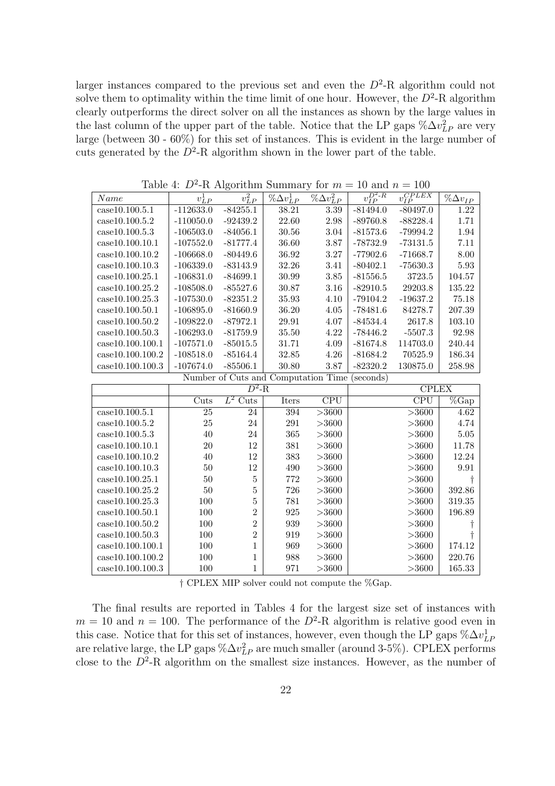larger instances compared to the previous set and even the  $D^2$ -R algorithm could not solve them to optimality within the time limit of one hour. However, the  $D^2$ -R algorithm clearly outperforms the direct solver on all the instances as shown by the large values in the last column of the upper part of the table. Notice that the LP gaps  $\%\Delta v_{LP}^2$  are very large (between 30 - 60%) for this set of instances. This is evident in the large number of cuts generated by the  $D^2$ -R algorithm shown in the lower part of the table.

| Name                                 | $v_{LP}^1$  | ပ<br>$v_{LP}^2$                     | $\%\Delta v^1_{LP}$ | $\overline{\% \Delta v_{LP}^2}$ | $v_{IP}^{D^2-R}$ | $\overline{v_{IP}^{CPLEX}}$ | $\%\Delta v_{IP}$ |
|--------------------------------------|-------------|-------------------------------------|---------------------|---------------------------------|------------------|-----------------------------|-------------------|
| case10.100.5.1                       | $-112633.0$ | $-84255.1$                          | 38.21               | $3.39\,$                        | $-81494.0$       | $-80497.0$                  | 1.22              |
| case10.100.5.2                       | $-110050.0$ | $-92439.2$                          | 22.60               | 2.98                            | $-89760.8$       | $-88228.4$                  | 1.71              |
| case10.100.5.3                       | $-106503.0$ | $-84056.1$                          | $30.56\,$           | 3.04                            | $-81573.6$       | $-79994.2$                  | $1.94\,$          |
| case10.100.10.1                      | $-107552.0$ | $-81777.4$                          | 36.60               | 3.87                            | $-78732.9$       | $-73131.5$                  | 7.11              |
| case10.100.10.2                      | $-106668.0$ | $-80449.6$                          | 36.92               | 3.27                            | $-77902.6$       | $-71668.7$                  | 8.00              |
| case10.100.10.3                      | $-106339.0$ | $-83143.9$                          | 32.26               | 3.41                            | $-80402.1$       | $-75630.3$                  | 5.93              |
| case10.100.25.1                      | $-106831.0$ | $-84699.1$                          | 30.99               | 3.85                            | $-81556.5$       | 3723.5                      | 104.57            |
| case10.100.25.2                      | $-108508.0$ | $-85527.6$                          | 30.87               | 3.16                            | $-82910.5$       | 29203.8                     | 135.22            |
| case10.100.25.3                      | $-107530.0$ | $-82351.2$                          | 35.93               | 4.10                            | $-79104.2$       | $-19637.2$                  | 75.18             |
| case10.100.50.1                      | $-106895.0$ | $-81660.9$                          | 36.20               | 4.05                            | $-78481.6$       | 84278.7                     | 207.39            |
| case10.100.50.2                      | $-109822.0$ | $-87972.1$                          | 29.91               | 4.07                            | $-84534.4$       | 2617.8                      | 103.10            |
| case10.100.50.3                      | $-106293.0$ | $-81759.9$                          | 35.50               | 4.22                            | $-78446.2$       | $-5507.3$                   | 92.98             |
| case10.100.100.1                     | $-107571.0$ | $-85015.5$                          | 31.71               | 4.09                            | $-81674.8$       | 114703.0                    | 240.44            |
| case10.100.100.2                     | $-108518.0$ | $-85164.4$                          | 32.85               | 4.26                            | $-81684.2$       | 70525.9                     | 186.34            |
| case10.100.100.3                     | $-107674.0$ | $-85506.1$                          | 30.80               | 3.87                            | $-82320.2$       | 130875.0                    | 258.98            |
|                                      |             | Number of Cuts and Computation Time |                     |                                 | (seconds)        |                             |                   |
|                                      |             | $D^2$ -R                            |                     |                                 |                  | <b>CPLEX</b>                |                   |
|                                      | Cuts        | $L^2$ Cuts                          | <b>Iters</b>        | $\overline{\text{CPU}}$         |                  | $\overline{\text{CPU}}$     | $\%$ Gap          |
| case10.100.5.1                       |             |                                     |                     |                                 |                  |                             |                   |
|                                      | 25          | 24                                  | 394                 | >3600                           |                  | >3600                       | 4.62              |
| case10.100.5.2                       | 25          | 24                                  | 291                 | >3600                           |                  | >3600                       | 4.74              |
| case10.100.5.3                       | 40          | 24                                  | 365                 | >3600                           |                  | >3600                       | $5.05\,$          |
| case10.100.10.1                      | 20          | 12                                  | 381                 | >3600                           |                  | >3600                       | 11.78             |
| case10.100.10.2                      | 40          | 12                                  | 383                 | >3600                           |                  | >3600                       | $12.24\,$         |
| case10.100.10.3                      | 50          | 12                                  | 490                 | >3600                           |                  | >3600                       | $\ \, 9.91$       |
| case10.100.25.1                      | 50          | $\overline{5}$                      | 772                 | >3600                           |                  | >3600                       |                   |
| case10.100.25.2                      | 50          | $\overline{5}$                      | 726                 | >3600                           |                  | >3600                       | 392.86            |
| case10.100.25.3                      | 100         | $\overline{5}$                      | 781                 | >3600                           |                  | >3600                       | 319.35            |
| case10.100.50.1                      | 100         | $\overline{2}$                      | 925                 | >3600                           |                  | >3600                       | 196.89            |
| case10.100.50.2                      | 100         | $\overline{2}$                      | 939                 | $>\!\!3600$                     |                  | >3600                       |                   |
| case10.100.50.3                      | 100         | $\overline{2}$                      | 919                 | >3600                           |                  | >3600                       |                   |
| case10.100.100.1                     | 100         | 1                                   | 969                 | >3600                           |                  | >3600                       | 174.12            |
| case10.100.100.2<br>case10.100.100.3 | 100<br>100  | 1                                   | 988<br>971          | >3600<br>>3600                  |                  | >3600<br>>3600              | 220.76<br>165.33  |

Table 4:  $D^2$ -R Algorithm Summary for  $m = 10$  and  $n = 100$ 

† CPLEX MIP solver could not compute the %Gap.

The final results are reported in Tables 4 for the largest size set of instances with  $m = 10$  and  $n = 100$ . The performance of the  $D^2$ -R algorithm is relative good even in this case. Notice that for this set of instances, however, even though the LP gaps  $\%\Delta v_{LF}^{1}$ are relative large, the LP gaps  $\%\Delta v_{LP}^2$  are much smaller (around 3-5%). CPLEX performs close to the  $D^2$ -R algorithm on the smallest size instances. However, as the number of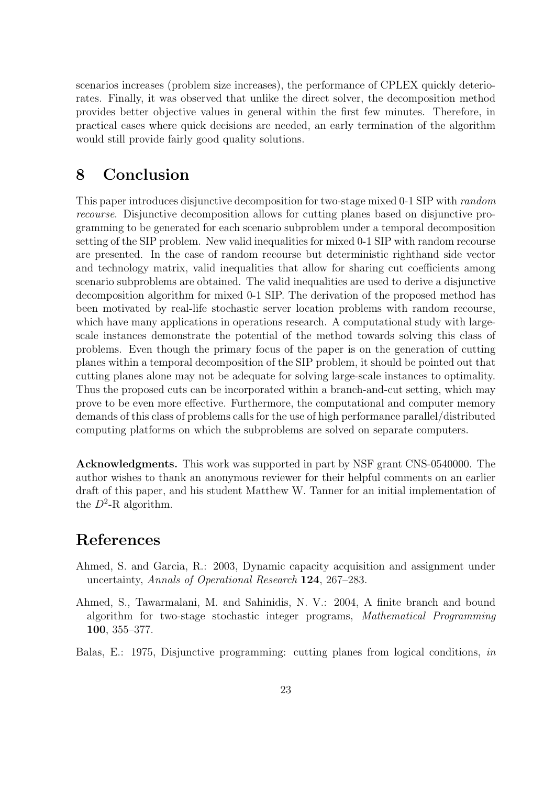scenarios increases (problem size increases), the performance of CPLEX quickly deteriorates. Finally, it was observed that unlike the direct solver, the decomposition method provides better objective values in general within the first few minutes. Therefore, in practical cases where quick decisions are needed, an early termination of the algorithm would still provide fairly good quality solutions.

# 8 Conclusion

This paper introduces disjunctive decomposition for two-stage mixed 0-1 SIP with random recourse. Disjunctive decomposition allows for cutting planes based on disjunctive programming to be generated for each scenario subproblem under a temporal decomposition setting of the SIP problem. New valid inequalities for mixed 0-1 SIP with random recourse are presented. In the case of random recourse but deterministic righthand side vector and technology matrix, valid inequalities that allow for sharing cut coefficients among scenario subproblems are obtained. The valid inequalities are used to derive a disjunctive decomposition algorithm for mixed 0-1 SIP. The derivation of the proposed method has been motivated by real-life stochastic server location problems with random recourse, which have many applications in operations research. A computational study with largescale instances demonstrate the potential of the method towards solving this class of problems. Even though the primary focus of the paper is on the generation of cutting planes within a temporal decomposition of the SIP problem, it should be pointed out that cutting planes alone may not be adequate for solving large-scale instances to optimality. Thus the proposed cuts can be incorporated within a branch-and-cut setting, which may prove to be even more effective. Furthermore, the computational and computer memory demands of this class of problems calls for the use of high performance parallel/distributed computing platforms on which the subproblems are solved on separate computers.

Acknowledgments. This work was supported in part by NSF grant CNS-0540000. The author wishes to thank an anonymous reviewer for their helpful comments on an earlier draft of this paper, and his student Matthew W. Tanner for an initial implementation of the  $D^2$ -R algorithm.

# References

- Ahmed, S. and Garcia, R.: 2003, Dynamic capacity acquisition and assignment under uncertainty, Annals of Operational Research 124, 267–283.
- Ahmed, S., Tawarmalani, M. and Sahinidis, N. V.: 2004, A finite branch and bound algorithm for two-stage stochastic integer programs, Mathematical Programming 100, 355–377.
- Balas, E.: 1975, Disjunctive programming: cutting planes from logical conditions, in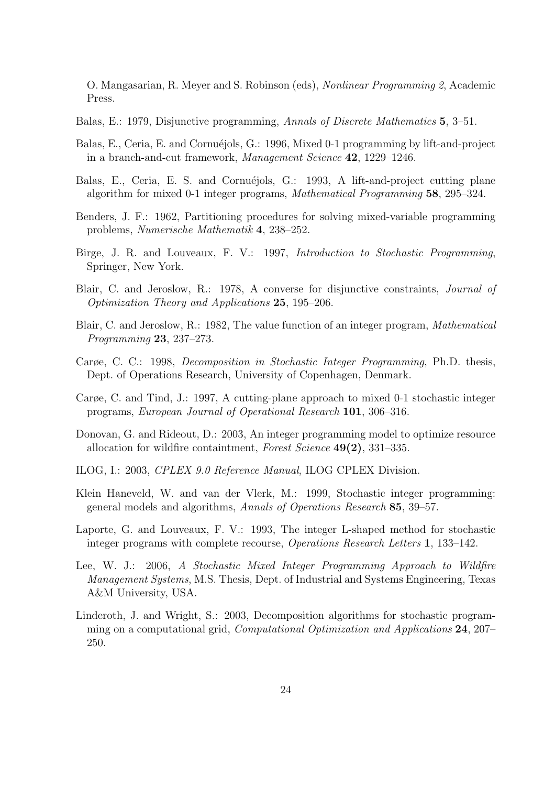O. Mangasarian, R. Meyer and S. Robinson (eds), Nonlinear Programming 2, Academic Press.

Balas, E.: 1979, Disjunctive programming, Annals of Discrete Mathematics 5, 3–51.

- Balas, E., Ceria, E. and Cornuéjols, G.: 1996, Mixed 0-1 programming by lift-and-project in a branch-and-cut framework, Management Science 42, 1229–1246.
- Balas, E., Ceria, E. S. and Cornuéjols, G.: 1993, A lift-and-project cutting plane algorithm for mixed 0-1 integer programs, Mathematical Programming 58, 295–324.
- Benders, J. F.: 1962, Partitioning procedures for solving mixed-variable programming problems, Numerische Mathematik 4, 238–252.
- Birge, J. R. and Louveaux, F. V.: 1997, Introduction to Stochastic Programming, Springer, New York.
- Blair, C. and Jeroslow, R.: 1978, A converse for disjunctive constraints, Journal of Optimization Theory and Applications 25, 195–206.
- Blair, C. and Jeroslow, R.: 1982, The value function of an integer program, Mathematical Programming 23, 237–273.
- Carøe, C. C.: 1998, Decomposition in Stochastic Integer Programming, Ph.D. thesis, Dept. of Operations Research, University of Copenhagen, Denmark.
- Carøe, C. and Tind, J.: 1997, A cutting-plane approach to mixed 0-1 stochastic integer programs, European Journal of Operational Research 101, 306–316.
- Donovan, G. and Rideout, D.: 2003, An integer programming model to optimize resource allocation for wildfire containtment, Forest Science  $49(2)$ , 331–335.
- ILOG, I.: 2003, CPLEX 9.0 Reference Manual, ILOG CPLEX Division.
- Klein Haneveld, W. and van der Vlerk, M.: 1999, Stochastic integer programming: general models and algorithms, Annals of Operations Research 85, 39–57.
- Laporte, G. and Louveaux, F. V.: 1993, The integer L-shaped method for stochastic integer programs with complete recourse, Operations Research Letters 1, 133–142.
- Lee, W. J.: 2006, A Stochastic Mixed Integer Programming Approach to Wildfire Management Systems, M.S. Thesis, Dept. of Industrial and Systems Engineering, Texas A&M University, USA.
- Linderoth, J. and Wright, S.: 2003, Decomposition algorithms for stochastic programming on a computational grid, Computational Optimization and Applications 24, 207– 250.